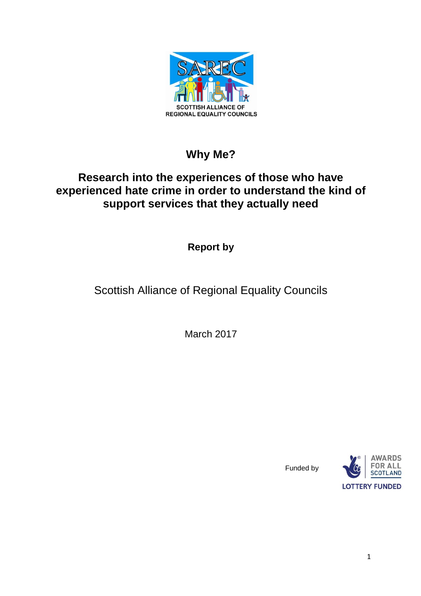

# **Why Me?**

# **Research into the experiences of those who have experienced hate crime in order to understand the kind of support services that they actually need**

**Report by**

Scottish Alliance of Regional Equality Councils

March 2017



Funded by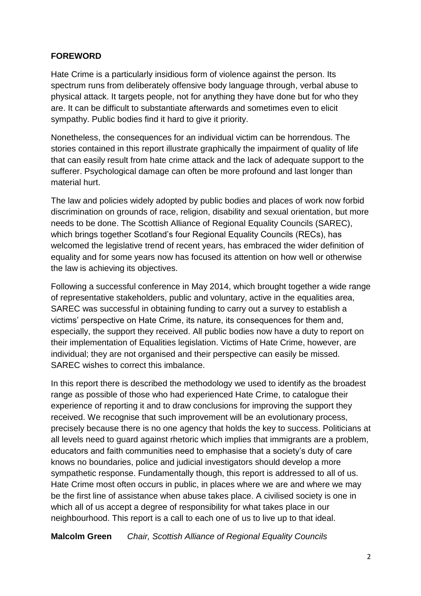# **FOREWORD**

Hate Crime is a particularly insidious form of violence against the person. Its spectrum runs from deliberately offensive body language through, verbal abuse to physical attack. It targets people, not for anything they have done but for who they are. It can be difficult to substantiate afterwards and sometimes even to elicit sympathy. Public bodies find it hard to give it priority.

Nonetheless, the consequences for an individual victim can be horrendous. The stories contained in this report illustrate graphically the impairment of quality of life that can easily result from hate crime attack and the lack of adequate support to the sufferer. Psychological damage can often be more profound and last longer than material hurt.

The law and policies widely adopted by public bodies and places of work now forbid discrimination on grounds of race, religion, disability and sexual orientation, but more needs to be done. The Scottish Alliance of Regional Equality Councils (SAREC), which brings together Scotland's four Regional Equality Councils (RECs), has welcomed the legislative trend of recent years, has embraced the wider definition of equality and for some years now has focused its attention on how well or otherwise the law is achieving its objectives.

Following a successful conference in May 2014, which brought together a wide range of representative stakeholders, public and voluntary, active in the equalities area, SAREC was successful in obtaining funding to carry out a survey to establish a victims' perspective on Hate Crime, its nature, its consequences for them and, especially, the support they received. All public bodies now have a duty to report on their implementation of Equalities legislation. Victims of Hate Crime, however, are individual; they are not organised and their perspective can easily be missed. SAREC wishes to correct this imbalance.

In this report there is described the methodology we used to identify as the broadest range as possible of those who had experienced Hate Crime, to catalogue their experience of reporting it and to draw conclusions for improving the support they received. We recognise that such improvement will be an evolutionary process, precisely because there is no one agency that holds the key to success. Politicians at all levels need to guard against rhetoric which implies that immigrants are a problem, educators and faith communities need to emphasise that a society's duty of care knows no boundaries, police and judicial investigators should develop a more sympathetic response. Fundamentally though, this report is addressed to all of us. Hate Crime most often occurs in public, in places where we are and where we may be the first line of assistance when abuse takes place. A civilised society is one in which all of us accept a degree of responsibility for what takes place in our neighbourhood. This report is a call to each one of us to live up to that ideal.

**Malcolm Green** *Chair, Scottish Alliance of Regional Equality Councils*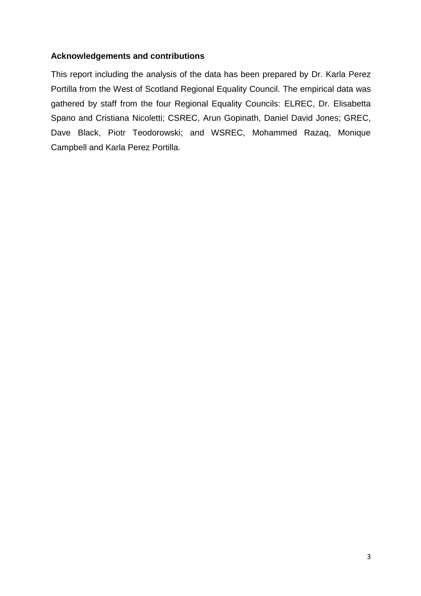# **Acknowledgements and contributions**

This report including the analysis of the data has been prepared by Dr. Karla Perez Portilla from the West of Scotland Regional Equality Council. The empirical data was gathered by staff from the four Regional Equality Councils: ELREC, Dr. Elisabetta Spano and Cristiana Nicoletti; CSREC, Arun Gopinath, Daniel David Jones; GREC, Dave Black, Piotr Teodorowski; and WSREC, Mohammed Razaq, Monique Campbell and Karla Perez Portilla.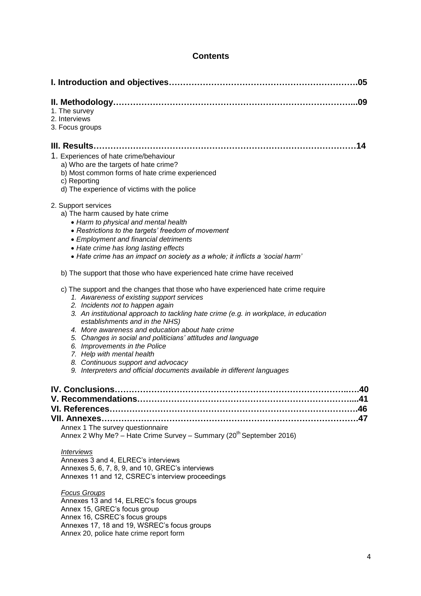# **Contents**

Annex 20, police hate crime report form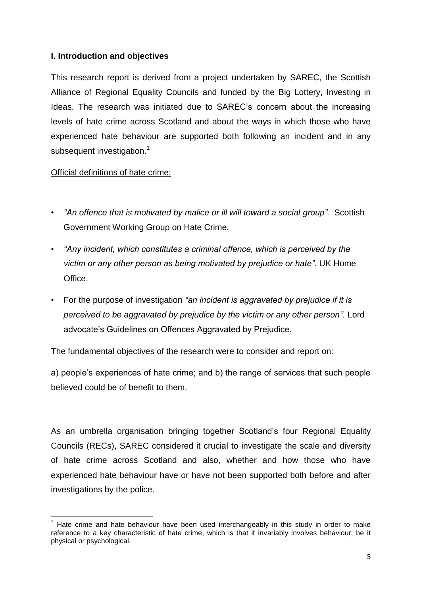# **I. Introduction and objectives**

This research report is derived from a project undertaken by SAREC, the Scottish Alliance of Regional Equality Councils and funded by the Big Lottery, Investing in Ideas. The research was initiated due to SAREC's concern about the increasing levels of hate crime across Scotland and about the ways in which those who have experienced hate behaviour are supported both following an incident and in any subsequent investigation.<sup>1</sup>

# Official definitions of hate crime:

- *"An offence that is motivated by malice or ill will toward a social group".* Scottish Government Working Group on Hate Crime.
- *"Any incident, which constitutes a criminal offence, which is perceived by the victim or any other person as being motivated by prejudice or hate".* UK Home Office.
- For the purpose of investigation *"an incident is aggravated by prejudice if it is perceived to be aggravated by prejudice by the victim or any other person".* Lord advocate's Guidelines on Offences Aggravated by Prejudice.

The fundamental objectives of the research were to consider and report on:

a) people's experiences of hate crime; and b) the range of services that such people believed could be of benefit to them.

As an umbrella organisation bringing together Scotland's four Regional Equality Councils (RECs), SAREC considered it crucial to investigate the scale and diversity of hate crime across Scotland and also, whether and how those who have experienced hate behaviour have or have not been supported both before and after investigations by the police.

 $\overline{\phantom{a}}$  $<sup>1</sup>$  Hate crime and hate behaviour have been used interchangeably in this study in order to make</sup> reference to a key characteristic of hate crime, which is that it invariably involves behaviour, be it physical or psychological.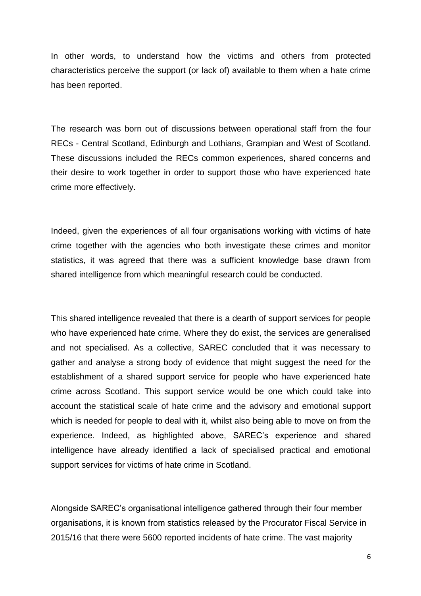In other words, to understand how the victims and others from protected characteristics perceive the support (or lack of) available to them when a hate crime has been reported.

The research was born out of discussions between operational staff from the four RECs - Central Scotland, Edinburgh and Lothians, Grampian and West of Scotland. These discussions included the RECs common experiences, shared concerns and their desire to work together in order to support those who have experienced hate crime more effectively.

Indeed, given the experiences of all four organisations working with victims of hate crime together with the agencies who both investigate these crimes and monitor statistics, it was agreed that there was a sufficient knowledge base drawn from shared intelligence from which meaningful research could be conducted.

This shared intelligence revealed that there is a dearth of support services for people who have experienced hate crime. Where they do exist, the services are generalised and not specialised. As a collective, SAREC concluded that it was necessary to gather and analyse a strong body of evidence that might suggest the need for the establishment of a shared support service for people who have experienced hate crime across Scotland. This support service would be one which could take into account the statistical scale of hate crime and the advisory and emotional support which is needed for people to deal with it, whilst also being able to move on from the experience. Indeed, as highlighted above, SAREC's experience and shared intelligence have already identified a lack of specialised practical and emotional support services for victims of hate crime in Scotland.

Alongside SAREC's organisational intelligence gathered through their four member organisations, it is known from statistics released by the Procurator Fiscal Service in 2015/16 that there were 5600 reported incidents of hate crime. The vast majority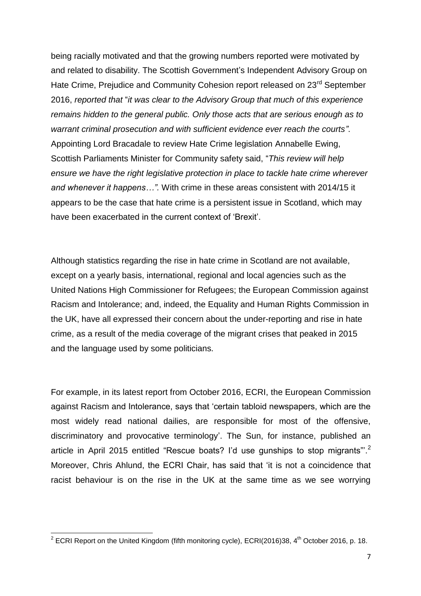being racially motivated and that the growing numbers reported were motivated by and related to disability. The Scottish Government's Independent Advisory Group on Hate Crime, Prejudice and Community Cohesion report released on 23<sup>rd</sup> September 2016, *reported that* "*it was clear to the Advisory Group that much of this experience remains hidden to the general public. Only those acts that are serious enough as to warrant criminal prosecution and with sufficient evidence ever reach the courts"*. Appointing Lord Bracadale to review Hate Crime legislation Annabelle Ewing, Scottish Parliaments Minister for Community safety said, "*This review will help ensure we have the right legislative protection in place to tackle hate crime wherever and whenever it happens…".* With crime in these areas consistent with 2014/15 it appears to be the case that hate crime is a persistent issue in Scotland, which may have been exacerbated in the current context of 'Brexit'.

Although statistics regarding the rise in hate crime in Scotland are not available, except on a yearly basis, international, regional and local agencies such as the United Nations High Commissioner for Refugees; the European Commission against Racism and Intolerance; and, indeed, the Equality and Human Rights Commission in the UK, have all expressed their concern about the under-reporting and rise in hate crime, as a result of the media coverage of the migrant crises that peaked in 2015 and the language used by some politicians.

For example, in its latest report from October 2016, ECRI, the European Commission against Racism and Intolerance, says that 'certain tabloid newspapers, which are the most widely read national dailies, are responsible for most of the offensive, discriminatory and provocative terminology'. The Sun, for instance, published an article in April 2015 entitled "Rescue boats? I'd use gunships to stop migrants"<sup>2</sup> Moreover, Chris Ahlund, the ECRI Chair, has said that 'it is not a coincidence that racist behaviour is on the rise in the UK at the same time as we see worrying

 2 ECRI Report on the United Kingdom (fifth monitoring cycle), ECRI(2016)38, 4th October 2016, p. 18.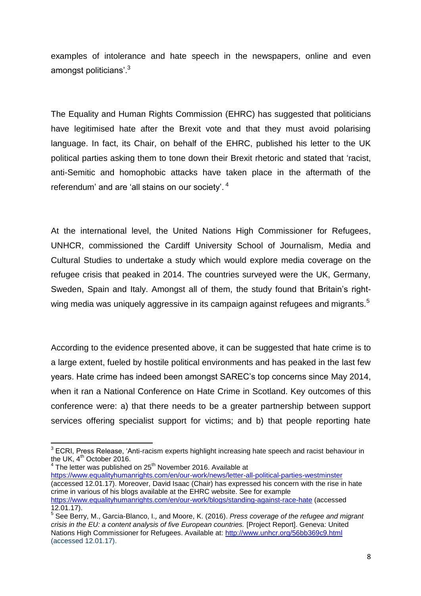examples of intolerance and hate speech in the newspapers, online and even amongst politicians'.<sup>3</sup>

The Equality and Human Rights Commission (EHRC) has suggested that politicians have legitimised hate after the Brexit vote and that they must avoid polarising language. In fact, its Chair, on behalf of the EHRC, published his letter to the UK political parties asking them to tone down their Brexit rhetoric and stated that 'racist, anti-Semitic and homophobic attacks have taken place in the aftermath of the referendum' and are 'all stains on our society'.<sup>4</sup>

At the international level, the United Nations High Commissioner for Refugees, UNHCR, commissioned the Cardiff University School of Journalism, Media and Cultural Studies to undertake a study which would explore media coverage on the refugee crisis that peaked in 2014. The countries surveyed were the UK, Germany, Sweden, Spain and Italy. Amongst all of them, the study found that Britain's rightwing media was uniquely aggressive in its campaign against refugees and migrants.<sup>5</sup>

According to the evidence presented above, it can be suggested that hate crime is to a large extent, fueled by hostile political environments and has peaked in the last few years. Hate crime has indeed been amongst SAREC's top concerns since May 2014, when it ran a National Conference on Hate Crime in Scotland. Key outcomes of this conference were: a) that there needs to be a greater partnership between support services offering specialist support for victims; and b) that people reporting hate

4 The letter was published on 25<sup>th</sup> November 2016. Available at <https://www.equalityhumanrights.com/en/our-work/news/letter-all-political-parties-westminster> (accessed 12.01.17). Moreover, David Isaac (Chair) has expressed his concern with the rise in hate crime in various of his blogs available at the EHRC website. See for example <https://www.equalityhumanrights.com/en/our-work/blogs/standing-against-race-hate> (accessed 12.01.17).

 $\overline{\phantom{a}}$  $3$  ECRI, Press Release, 'Anti-racism experts highlight increasing hate speech and racist behaviour in the UK,  $4<sup>th</sup>$  October 2016.

<sup>5</sup> See [Berry, M.,](http://orca.cf.ac.uk/view/cardiffauthors/A464167V.html) [Garcia-Blanco, I.](http://orca.cf.ac.uk/view/cardiffauthors/A130303A.html), and [Moore, K.](http://orca.cf.ac.uk/view/cardiffauthors/A061736N.html) (2016). *Press coverage of the refugee and migrant crisis in the EU: a content analysis of five European countries.* [Project Report]. Geneva: United Nations High Commissioner for Refugees. Available at:<http://www.unhcr.org/56bb369c9.html> (accessed 12.01.17).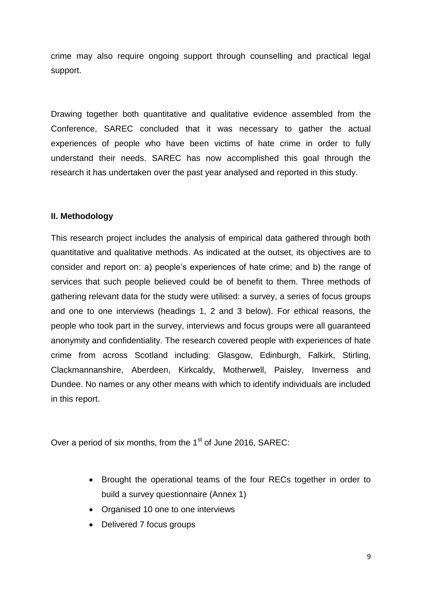crime may also require ongoing support through counselling and practical legal support.

Drawing together both quantitative and qualitative evidence assembled from the Conference, SAREC concluded that it was necessary to gather the actual experiences of people who have been victims of hate crime in order to fully understand their needs. SAREC has now accomplished this goal through the research it has undertaken over the past year analysed and reported in this study.

## **II. Methodology**

This research project includes the analysis of empirical data gathered through both quantitative and qualitative methods. As indicated at the outset, its objectives are to consider and report on: a) people's experiences of hate crime; and b) the range of services that such people believed could be of benefit to them. Three methods of gathering relevant data for the study were utilised: a survey, a series of focus groups and one to one interviews (headings 1, 2 and 3 below). For ethical reasons, the people who took part in the survey, interviews and focus groups were all guaranteed anonymity and confidentiality. The research covered people with experiences of hate crime from across Scotland including: Glasgow, Edinburgh, Falkirk, Stirling, Clackmannanshire, Aberdeen, Kirkcaldy, Motherwell, Paisley, Inverness and Dundee. No names or any other means with which to identify individuals are included in this report.

Over a period of six months, from the  $1<sup>st</sup>$  of June 2016, SAREC:

- Brought the operational teams of the four RECs together in order to build a survey questionnaire (Annex 1)
- Organised 10 one to one interviews
- Delivered 7 focus groups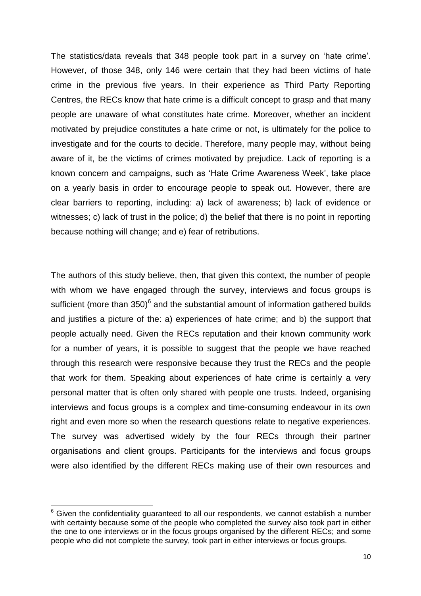The statistics/data reveals that 348 people took part in a survey on 'hate crime'. However, of those 348, only 146 were certain that they had been victims of hate crime in the previous five years. In their experience as Third Party Reporting Centres, the RECs know that hate crime is a difficult concept to grasp and that many people are unaware of what constitutes hate crime. Moreover, whether an incident motivated by prejudice constitutes a hate crime or not, is ultimately for the police to investigate and for the courts to decide. Therefore, many people may, without being aware of it, be the victims of crimes motivated by prejudice. Lack of reporting is a known concern and campaigns, such as 'Hate Crime Awareness Week', take place on a yearly basis in order to encourage people to speak out. However, there are clear barriers to reporting, including: a) lack of awareness; b) lack of evidence or witnesses; c) lack of trust in the police; d) the belief that there is no point in reporting because nothing will change; and e) fear of retributions.

The authors of this study believe, then, that given this context, the number of people with whom we have engaged through the survey, interviews and focus groups is sufficient (more than  $350)^6$  and the substantial amount of information gathered builds and justifies a picture of the: a) experiences of hate crime; and b) the support that people actually need. Given the RECs reputation and their known community work for a number of years, it is possible to suggest that the people we have reached through this research were responsive because they trust the RECs and the people that work for them. Speaking about experiences of hate crime is certainly a very personal matter that is often only shared with people one trusts. Indeed, organising interviews and focus groups is a complex and time-consuming endeavour in its own right and even more so when the research questions relate to negative experiences. The survey was advertised widely by the four RECs through their partner organisations and client groups. Participants for the interviews and focus groups were also identified by the different RECs making use of their own resources and

1

 $6$  Given the confidentiality quaranteed to all our respondents, we cannot establish a number with certainty because some of the people who completed the survey also took part in either the one to one interviews or in the focus groups organised by the different RECs; and some people who did not complete the survey, took part in either interviews or focus groups.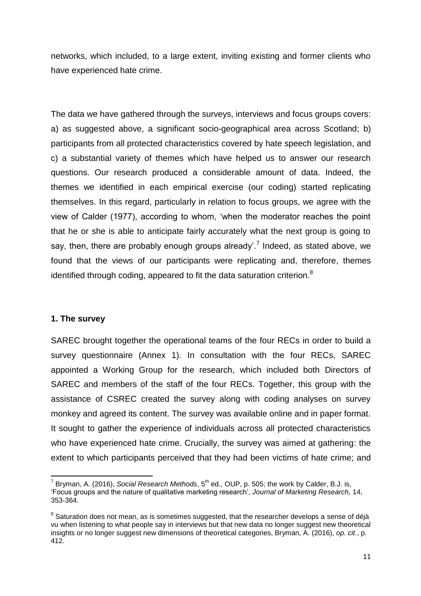networks, which included, to a large extent, inviting existing and former clients who have experienced hate crime.

The data we have gathered through the surveys, interviews and focus groups covers: a) as suggested above, a significant socio-geographical area across Scotland; b) participants from all protected characteristics covered by hate speech legislation, and c) a substantial variety of themes which have helped us to answer our research questions. Our research produced a considerable amount of data. Indeed, the themes we identified in each empirical exercise (our coding) started replicating themselves. In this regard, particularly in relation to focus groups, we agree with the view of Calder (1977), according to whom, 'when the moderator reaches the point that he or she is able to anticipate fairly accurately what the next group is going to say, then, there are probably enough groups already'.<sup>7</sup> Indeed, as stated above, we found that the views of our participants were replicating and, therefore, themes identified through coding, appeared to fit the data saturation criterion. $8$ 

## **1. The survey**

SAREC brought together the operational teams of the four RECs in order to build a survey questionnaire (Annex 1). In consultation with the four RECs, SAREC appointed a Working Group for the research, which included both Directors of SAREC and members of the staff of the four RECs. Together, this group with the assistance of CSREC created the survey along with coding analyses on survey monkey and agreed its content. The survey was available online and in paper format. It sought to gather the experience of individuals across all protected characteristics who have experienced hate crime. Crucially, the survey was aimed at gathering: the extent to which participants perceived that they had been victims of hate crime; and

**<sup>.</sup>** <sup>7</sup> Bryman, A. (2016), *Social Research Methods*, 5<sup>th</sup> ed., OUP, p. 505; the work by Calder, B.J. is, 'Focus groups and the nature of qualitative marketing research', *Journal of Marketing Research,* 14, 353-364.

 $8$  Saturation does not mean, as is sometimes suggested, that the researcher develops a sense of déjà vu when listening to what people say in interviews but that new data no longer suggest new theoretical insights or no longer suggest new dimensions of theoretical categories, Bryman, A. (2016), *op. cit.*, p. 412.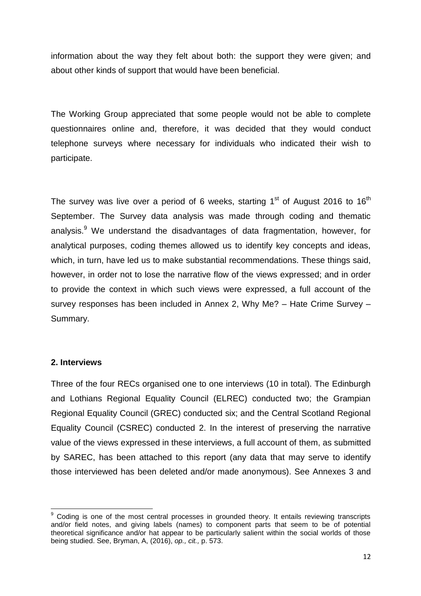information about the way they felt about both: the support they were given; and about other kinds of support that would have been beneficial.

The Working Group appreciated that some people would not be able to complete questionnaires online and, therefore, it was decided that they would conduct telephone surveys where necessary for individuals who indicated their wish to participate.

The survey was live over a period of 6 weeks, starting 1<sup>st</sup> of August 2016 to 16<sup>th</sup> September. The Survey data analysis was made through coding and thematic analysis.<sup>9</sup> We understand the disadvantages of data fragmentation, however, for analytical purposes, coding themes allowed us to identify key concepts and ideas, which, in turn, have led us to make substantial recommendations. These things said, however, in order not to lose the narrative flow of the views expressed; and in order to provide the context in which such views were expressed, a full account of the survey responses has been included in Annex 2, Why Me? – Hate Crime Survey – Summary.

## **2. Interviews**

Three of the four RECs organised one to one interviews (10 in total). The Edinburgh and Lothians Regional Equality Council (ELREC) conducted two; the Grampian Regional Equality Council (GREC) conducted six; and the Central Scotland Regional Equality Council (CSREC) conducted 2. In the interest of preserving the narrative value of the views expressed in these interviews, a full account of them, as submitted by SAREC, has been attached to this report (any data that may serve to identify those interviewed has been deleted and/or made anonymous). See Annexes 3 and

**<sup>.</sup>** <sup>9</sup> Coding is one of the most central processes in grounded theory. It entails reviewing transcripts and/or field notes, and giving labels (names) to component parts that seem to be of potential theoretical significance and/or hat appear to be particularly salient within the social worlds of those being studied. See, Bryman, A, (2016), *op., cit.,* p. 573.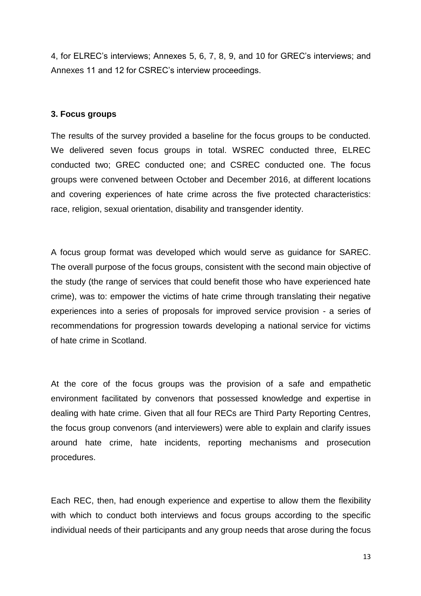4, for ELREC's interviews; Annexes 5, 6, 7, 8, 9, and 10 for GREC's interviews; and Annexes 11 and 12 for CSREC's interview proceedings.

## **3. Focus groups**

The results of the survey provided a baseline for the focus groups to be conducted. We delivered seven focus groups in total. WSREC conducted three, ELREC conducted two; GREC conducted one; and CSREC conducted one. The focus groups were convened between October and December 2016, at different locations and covering experiences of hate crime across the five protected characteristics: race, religion, sexual orientation, disability and transgender identity.

A focus group format was developed which would serve as guidance for SAREC. The overall purpose of the focus groups, consistent with the second main objective of the study (the range of services that could benefit those who have experienced hate crime), was to: empower the victims of hate crime through translating their negative experiences into a series of proposals for improved service provision - a series of recommendations for progression towards developing a national service for victims of hate crime in Scotland.

At the core of the focus groups was the provision of a safe and empathetic environment facilitated by convenors that possessed knowledge and expertise in dealing with hate crime. Given that all four RECs are Third Party Reporting Centres, the focus group convenors (and interviewers) were able to explain and clarify issues around hate crime, hate incidents, reporting mechanisms and prosecution procedures.

Each REC, then, had enough experience and expertise to allow them the flexibility with which to conduct both interviews and focus groups according to the specific individual needs of their participants and any group needs that arose during the focus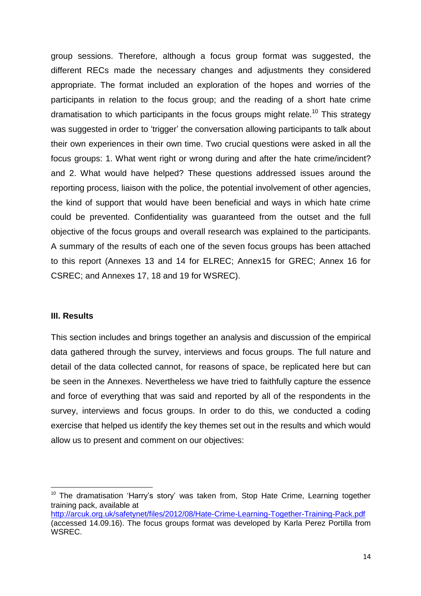group sessions. Therefore, although a focus group format was suggested, the different RECs made the necessary changes and adjustments they considered appropriate. The format included an exploration of the hopes and worries of the participants in relation to the focus group; and the reading of a short hate crime dramatisation to which participants in the focus groups might relate.<sup>10</sup> This strategy was suggested in order to 'trigger' the conversation allowing participants to talk about their own experiences in their own time. Two crucial questions were asked in all the focus groups: 1. What went right or wrong during and after the hate crime/incident? and 2. What would have helped? These questions addressed issues around the reporting process, liaison with the police, the potential involvement of other agencies, the kind of support that would have been beneficial and ways in which hate crime could be prevented. Confidentiality was guaranteed from the outset and the full objective of the focus groups and overall research was explained to the participants. A summary of the results of each one of the seven focus groups has been attached to this report (Annexes 13 and 14 for ELREC; Annex15 for GREC; Annex 16 for CSREC; and Annexes 17, 18 and 19 for WSREC).

#### **III. Results**

**.** 

This section includes and brings together an analysis and discussion of the empirical data gathered through the survey, interviews and focus groups. The full nature and detail of the data collected cannot, for reasons of space, be replicated here but can be seen in the Annexes. Nevertheless we have tried to faithfully capture the essence and force of everything that was said and reported by all of the respondents in the survey, interviews and focus groups. In order to do this, we conducted a coding exercise that helped us identify the key themes set out in the results and which would allow us to present and comment on our objectives:

<sup>&</sup>lt;sup>10</sup> The dramatisation 'Harry's story' was taken from, Stop Hate Crime, Learning together training pack, available at

<http://arcuk.org.uk/safetynet/files/2012/08/Hate-Crime-Learning-Together-Training-Pack.pdf> (accessed 14.09.16). The focus groups format was developed by Karla Perez Portilla from WSREC.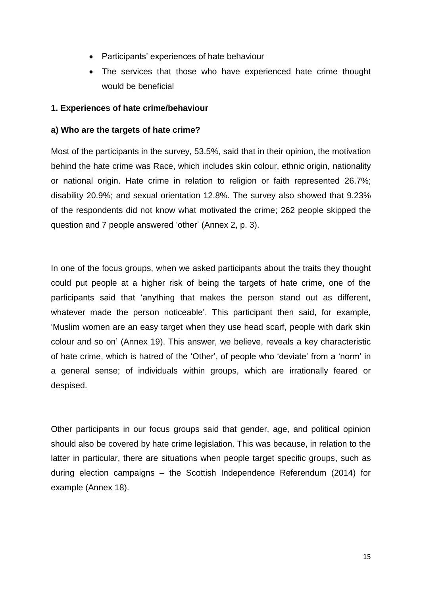- Participants' experiences of hate behaviour
- The services that those who have experienced hate crime thought would be beneficial

## **1. Experiences of hate crime/behaviour**

## **a) Who are the targets of hate crime?**

Most of the participants in the survey, 53.5%, said that in their opinion, the motivation behind the hate crime was Race, which includes skin colour, ethnic origin, nationality or national origin. Hate crime in relation to religion or faith represented 26.7%; disability 20.9%; and sexual orientation 12.8%. The survey also showed that 9.23% of the respondents did not know what motivated the crime; 262 people skipped the question and 7 people answered 'other' (Annex 2, p. 3).

In one of the focus groups, when we asked participants about the traits they thought could put people at a higher risk of being the targets of hate crime, one of the participants said that 'anything that makes the person stand out as different, whatever made the person noticeable'. This participant then said, for example, 'Muslim women are an easy target when they use head scarf, people with dark skin colour and so on' (Annex 19). This answer, we believe, reveals a key characteristic of hate crime, which is hatred of the 'Other', of people who 'deviate' from a 'norm' in a general sense; of individuals within groups, which are irrationally feared or despised.

Other participants in our focus groups said that gender, age, and political opinion should also be covered by hate crime legislation. This was because, in relation to the latter in particular, there are situations when people target specific groups, such as during election campaigns – the Scottish Independence Referendum (2014) for example (Annex 18).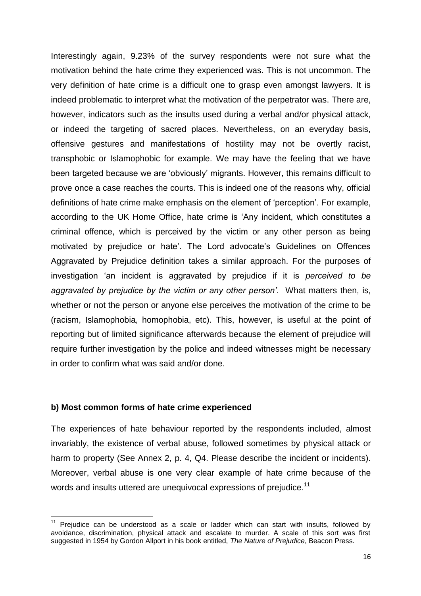Interestingly again, 9.23% of the survey respondents were not sure what the motivation behind the hate crime they experienced was. This is not uncommon. The very definition of hate crime is a difficult one to grasp even amongst lawyers. It is indeed problematic to interpret what the motivation of the perpetrator was. There are, however, indicators such as the insults used during a verbal and/or physical attack, or indeed the targeting of sacred places. Nevertheless, on an everyday basis, offensive gestures and manifestations of hostility may not be overtly racist, transphobic or Islamophobic for example. We may have the feeling that we have been targeted because we are 'obviously' migrants. However, this remains difficult to prove once a case reaches the courts. This is indeed one of the reasons why, official definitions of hate crime make emphasis on the element of 'perception'. For example, according to the UK Home Office, hate crime is 'Any incident, which constitutes a criminal offence, which is perceived by the victim or any other person as being motivated by prejudice or hate'. The Lord advocate's Guidelines on Offences Aggravated by Prejudice definition takes a similar approach. For the purposes of investigation 'an incident is aggravated by prejudice if it is *perceived to be aggravated by prejudice by the victim or any other person'.* What matters then, is, whether or not the person or anyone else perceives the motivation of the crime to be (racism, Islamophobia, homophobia, etc). This, however, is useful at the point of reporting but of limited significance afterwards because the element of prejudice will require further investigation by the police and indeed witnesses might be necessary in order to confirm what was said and/or done.

#### **b) Most common forms of hate crime experienced**

 $\overline{\phantom{a}}$ 

The experiences of hate behaviour reported by the respondents included, almost invariably, the existence of verbal abuse, followed sometimes by physical attack or harm to property (See Annex 2, p. 4, Q4. Please describe the incident or incidents). Moreover, verbal abuse is one very clear example of hate crime because of the words and insults uttered are unequivocal expressions of prejudice.<sup>11</sup>

 $11$  Prejudice can be understood as a scale or ladder which can start with insults, followed by avoidance, discrimination, physical attack and escalate to murder. A scale of this sort was first suggested in 1954 by Gordon Allport in his book entitled, *The Nature of Prejudice*, Beacon Press.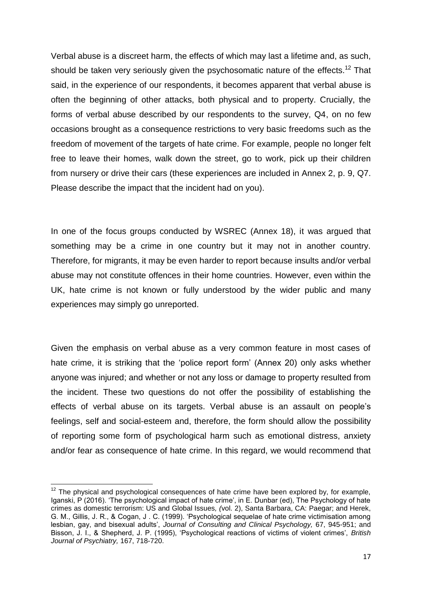Verbal abuse is a discreet harm, the effects of which may last a lifetime and, as such, should be taken very seriously given the psychosomatic nature of the effects.<sup>12</sup> That said, in the experience of our respondents, it becomes apparent that verbal abuse is often the beginning of other attacks, both physical and to property. Crucially, the forms of verbal abuse described by our respondents to the survey, Q4, on no few occasions brought as a consequence restrictions to very basic freedoms such as the freedom of movement of the targets of hate crime. For example, people no longer felt free to leave their homes, walk down the street, go to work, pick up their children from nursery or drive their cars (these experiences are included in Annex 2, p. 9, Q7. Please describe the impact that the incident had on you).

In one of the focus groups conducted by WSREC (Annex 18), it was argued that something may be a crime in one country but it may not in another country. Therefore, for migrants, it may be even harder to report because insults and/or verbal abuse may not constitute offences in their home countries. However, even within the UK, hate crime is not known or fully understood by the wider public and many experiences may simply go unreported.

Given the emphasis on verbal abuse as a very common feature in most cases of hate crime, it is striking that the 'police report form' (Annex 20) only asks whether anyone was injured; and whether or not any loss or damage to property resulted from the incident. These two questions do not offer the possibility of establishing the effects of verbal abuse on its targets. Verbal abuse is an assault on people's feelings, self and social-esteem and, therefore, the form should allow the possibility of reporting some form of psychological harm such as emotional distress, anxiety and/or fear as consequence of hate crime. In this regard, we would recommend that

**<sup>.</sup>**  $12$  The physical and psychological consequences of hate crime have been explored by, for example, Iganski, P (2016). 'The psychological impact of hate crime', in E. Dunbar (ed), The Psychology of hate crimes as domestic terrorism: US and Global Issues*, (*vol. 2), Santa Barbara, CA: Paegar; and Herek, G. M., Gillis, J. R., & Cogan, J . C. (1999). 'Psychological sequelae of hate crime victimisation among lesbian, gay, and bisexual adults', *Journal of Consulting and Clinical Psychology,* 67, 945-951; and Bisson, J. I., & Shepherd, J. P. (1995), 'Psychological reactions of victims of violent crimes', *British Journal of Psychiatry,* 167, 718-720.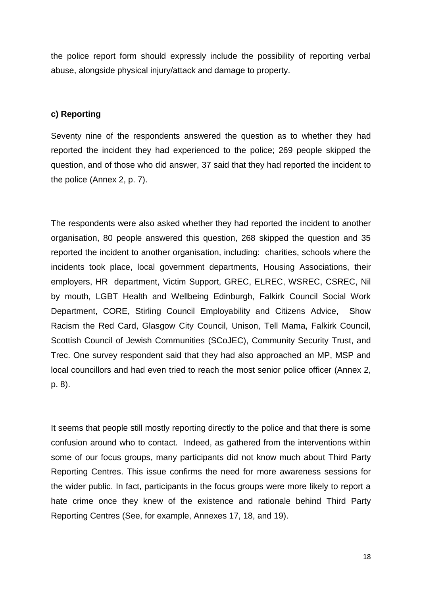the police report form should expressly include the possibility of reporting verbal abuse, alongside physical injury/attack and damage to property.

## **c) Reporting**

Seventy nine of the respondents answered the question as to whether they had reported the incident they had experienced to the police; 269 people skipped the question, and of those who did answer, 37 said that they had reported the incident to the police (Annex 2, p. 7).

The respondents were also asked whether they had reported the incident to another organisation, 80 people answered this question, 268 skipped the question and 35 reported the incident to another organisation, including: charities, schools where the incidents took place, local government departments, Housing Associations, their employers, HR department, Victim Support, GREC, ELREC, WSREC, CSREC, Nil by mouth, LGBT Health and Wellbeing Edinburgh, Falkirk Council Social Work Department, CORE, Stirling Council Employability and Citizens Advice, Show Racism the Red Card, Glasgow City Council, Unison, Tell Mama, Falkirk Council, Scottish Council of Jewish Communities (SCoJEC), Community Security Trust, and Trec. One survey respondent said that they had also approached an MP, MSP and local councillors and had even tried to reach the most senior police officer (Annex 2, p. 8).

It seems that people still mostly reporting directly to the police and that there is some confusion around who to contact. Indeed, as gathered from the interventions within some of our focus groups, many participants did not know much about Third Party Reporting Centres. This issue confirms the need for more awareness sessions for the wider public. In fact, participants in the focus groups were more likely to report a hate crime once they knew of the existence and rationale behind Third Party Reporting Centres (See, for example, Annexes 17, 18, and 19).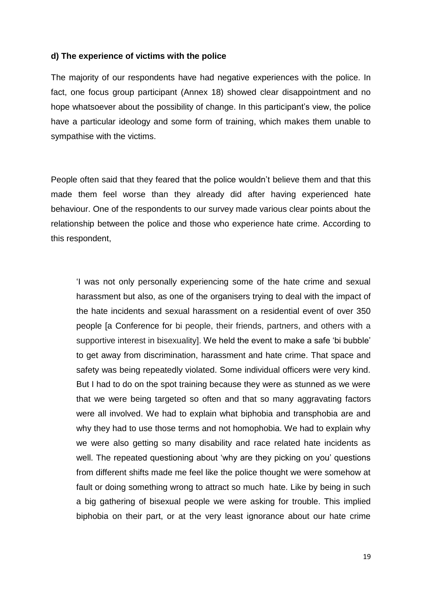#### **d) The experience of victims with the police**

The majority of our respondents have had negative experiences with the police. In fact, one focus group participant (Annex 18) showed clear disappointment and no hope whatsoever about the possibility of change. In this participant's view, the police have a particular ideology and some form of training, which makes them unable to sympathise with the victims.

People often said that they feared that the police wouldn't believe them and that this made them feel worse than they already did after having experienced hate behaviour. One of the respondents to our survey made various clear points about the relationship between the police and those who experience hate crime. According to this respondent,

'I was not only personally experiencing some of the hate crime and sexual harassment but also, as one of the organisers trying to deal with the impact of the hate incidents and sexual harassment on a residential event of over 350 people [a Conference for bi people, their friends, partners, and others with a supportive interest in bisexuality]. We held the event to make a safe 'bi bubble' to get away from discrimination, harassment and hate crime. That space and safety was being repeatedly violated. Some individual officers were very kind. But I had to do on the spot training because they were as stunned as we were that we were being targeted so often and that so many aggravating factors were all involved. We had to explain what biphobia and transphobia are and why they had to use those terms and not homophobia. We had to explain why we were also getting so many disability and race related hate incidents as well. The repeated questioning about 'why are they picking on you' questions from different shifts made me feel like the police thought we were somehow at fault or doing something wrong to attract so much hate. Like by being in such a big gathering of bisexual people we were asking for trouble. This implied biphobia on their part, or at the very least ignorance about our hate crime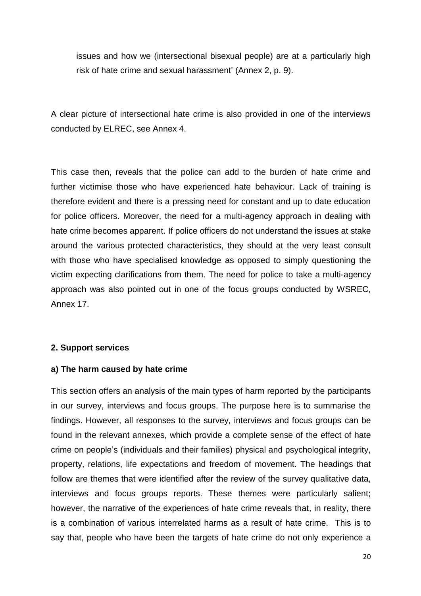issues and how we (intersectional bisexual people) are at a particularly high risk of hate crime and sexual harassment' (Annex 2, p. 9).

A clear picture of intersectional hate crime is also provided in one of the interviews conducted by ELREC, see Annex 4.

This case then, reveals that the police can add to the burden of hate crime and further victimise those who have experienced hate behaviour. Lack of training is therefore evident and there is a pressing need for constant and up to date education for police officers. Moreover, the need for a multi-agency approach in dealing with hate crime becomes apparent. If police officers do not understand the issues at stake around the various protected characteristics, they should at the very least consult with those who have specialised knowledge as opposed to simply questioning the victim expecting clarifications from them. The need for police to take a multi-agency approach was also pointed out in one of the focus groups conducted by WSREC, Annex 17.

## **2. Support services**

#### **a) The harm caused by hate crime**

This section offers an analysis of the main types of harm reported by the participants in our survey, interviews and focus groups. The purpose here is to summarise the findings. However, all responses to the survey, interviews and focus groups can be found in the relevant annexes, which provide a complete sense of the effect of hate crime on people's (individuals and their families) physical and psychological integrity, property, relations, life expectations and freedom of movement. The headings that follow are themes that were identified after the review of the survey qualitative data, interviews and focus groups reports. These themes were particularly salient; however, the narrative of the experiences of hate crime reveals that, in reality, there is a combination of various interrelated harms as a result of hate crime. This is to say that, people who have been the targets of hate crime do not only experience a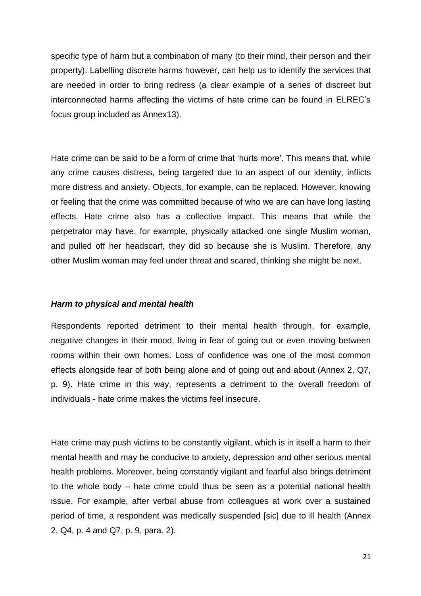specific type of harm but a combination of many (to their mind, their person and their property). Labelling discrete harms however, can help us to identify the services that are needed in order to bring redress (a clear example of a series of discreet but interconnected harms affecting the victims of hate crime can be found in ELREC's focus group included as Annex13).

Hate crime can be said to be a form of crime that 'hurts more'. This means that, while any crime causes distress, being targeted due to an aspect of our identity, inflicts more distress and anxiety. Objects, for example, can be replaced. However, knowing or feeling that the crime was committed because of who we are can have long lasting effects. Hate crime also has a collective impact. This means that while the perpetrator may have, for example, physically attacked one single Muslim woman, and pulled off her headscarf, they did so because she is Muslim. Therefore, any other Muslim woman may feel under threat and scared, thinking she might be next.

#### *Harm to physical and mental health*

Respondents reported detriment to their mental health through, for example, negative changes in their mood, living in fear of going out or even moving between rooms within their own homes. Loss of confidence was one of the most common effects alongside fear of both being alone and of going out and about (Annex 2, Q7, p. 9). Hate crime in this way, represents a detriment to the overall freedom of individuals - hate crime makes the victims feel insecure.

Hate crime may push victims to be constantly vigilant, which is in itself a harm to their mental health and may be conducive to anxiety, depression and other serious mental health problems. Moreover, being constantly vigilant and fearful also brings detriment to the whole body – hate crime could thus be seen as a potential national health issue. For example, after verbal abuse from colleagues at work over a sustained period of time, a respondent was medically suspended [sic] due to ill health (Annex 2, Q4, p. 4 and Q7, p. 9, para. 2).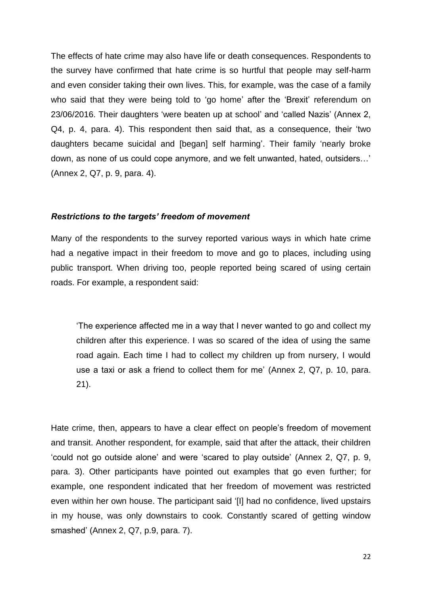The effects of hate crime may also have life or death consequences. Respondents to the survey have confirmed that hate crime is so hurtful that people may self-harm and even consider taking their own lives. This, for example, was the case of a family who said that they were being told to 'go home' after the 'Brexit' referendum on 23/06/2016. Their daughters 'were beaten up at school' and 'called Nazis' (Annex 2, Q4, p. 4, para. 4). This respondent then said that, as a consequence, their 'two daughters became suicidal and [began] self harming'. Their family 'nearly broke down, as none of us could cope anymore, and we felt unwanted, hated, outsiders…' (Annex 2, Q7, p. 9, para. 4).

#### *Restrictions to the targets' freedom of movement*

Many of the respondents to the survey reported various ways in which hate crime had a negative impact in their freedom to move and go to places, including using public transport. When driving too, people reported being scared of using certain roads. For example, a respondent said:

'The experience affected me in a way that I never wanted to go and collect my children after this experience. I was so scared of the idea of using the same road again. Each time I had to collect my children up from nursery, I would use a taxi or ask a friend to collect them for me' (Annex 2, Q7, p. 10, para. 21).

Hate crime, then, appears to have a clear effect on people's freedom of movement and transit. Another respondent, for example, said that after the attack, their children 'could not go outside alone' and were 'scared to play outside' (Annex 2, Q7, p. 9, para. 3). Other participants have pointed out examples that go even further; for example, one respondent indicated that her freedom of movement was restricted even within her own house. The participant said '[I] had no confidence, lived upstairs in my house, was only downstairs to cook. Constantly scared of getting window smashed' (Annex 2, Q7, p.9, para. 7).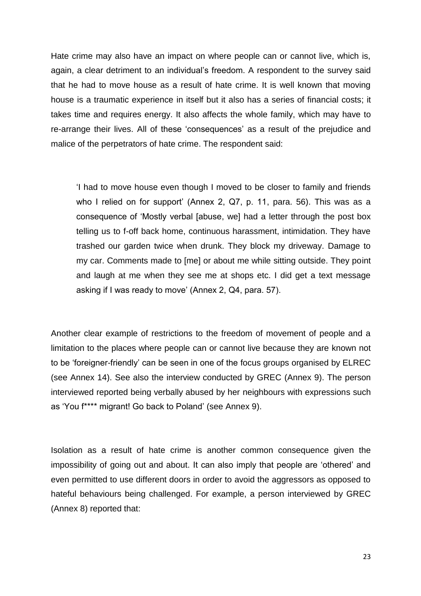Hate crime may also have an impact on where people can or cannot live, which is, again, a clear detriment to an individual's freedom. A respondent to the survey said that he had to move house as a result of hate crime. It is well known that moving house is a traumatic experience in itself but it also has a series of financial costs; it takes time and requires energy. It also affects the whole family, which may have to re-arrange their lives. All of these 'consequences' as a result of the prejudice and malice of the perpetrators of hate crime. The respondent said:

'I had to move house even though I moved to be closer to family and friends who I relied on for support' (Annex 2, Q7, p. 11, para. 56). This was as a consequence of 'Mostly verbal [abuse, we] had a letter through the post box telling us to f-off back home, continuous harassment, intimidation. They have trashed our garden twice when drunk. They block my driveway. Damage to my car. Comments made to [me] or about me while sitting outside. They point and laugh at me when they see me at shops etc. I did get a text message asking if I was ready to move' (Annex 2, Q4, para. 57).

Another clear example of restrictions to the freedom of movement of people and a limitation to the places where people can or cannot live because they are known not to be 'foreigner-friendly' can be seen in one of the focus groups organised by ELREC (see Annex 14). See also the interview conducted by GREC (Annex 9). The person interviewed reported being verbally abused by her neighbours with expressions such as 'You f\*\*\*\* migrant! Go back to Poland' (see Annex 9).

Isolation as a result of hate crime is another common consequence given the impossibility of going out and about. It can also imply that people are 'othered' and even permitted to use different doors in order to avoid the aggressors as opposed to hateful behaviours being challenged. For example, a person interviewed by GREC (Annex 8) reported that: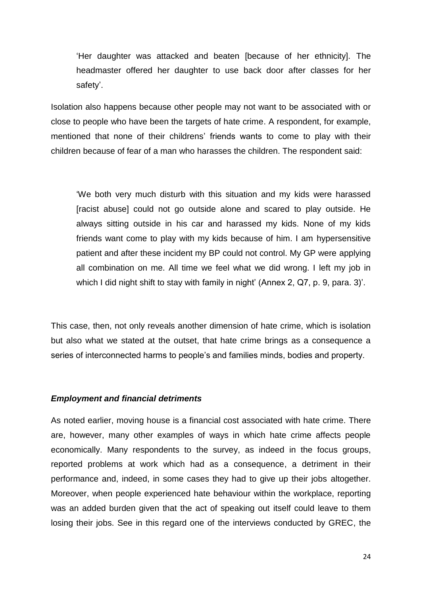'Her daughter was attacked and beaten [because of her ethnicity]. The headmaster offered her daughter to use back door after classes for her safety'.

Isolation also happens because other people may not want to be associated with or close to people who have been the targets of hate crime. A respondent, for example, mentioned that none of their childrens' friends wants to come to play with their children because of fear of a man who harasses the children. The respondent said:

'We both very much disturb with this situation and my kids were harassed [racist abuse] could not go outside alone and scared to play outside. He always sitting outside in his car and harassed my kids. None of my kids friends want come to play with my kids because of him. I am hypersensitive patient and after these incident my BP could not control. My GP were applying all combination on me. All time we feel what we did wrong. I left my job in which I did night shift to stay with family in night' (Annex 2, Q7, p. 9, para. 3)'.

This case, then, not only reveals another dimension of hate crime, which is isolation but also what we stated at the outset, that hate crime brings as a consequence a series of interconnected harms to people's and families minds, bodies and property.

## *Employment and financial detriments*

As noted earlier, moving house is a financial cost associated with hate crime. There are, however, many other examples of ways in which hate crime affects people economically. Many respondents to the survey, as indeed in the focus groups, reported problems at work which had as a consequence, a detriment in their performance and, indeed, in some cases they had to give up their jobs altogether. Moreover, when people experienced hate behaviour within the workplace, reporting was an added burden given that the act of speaking out itself could leave to them losing their jobs. See in this regard one of the interviews conducted by GREC, the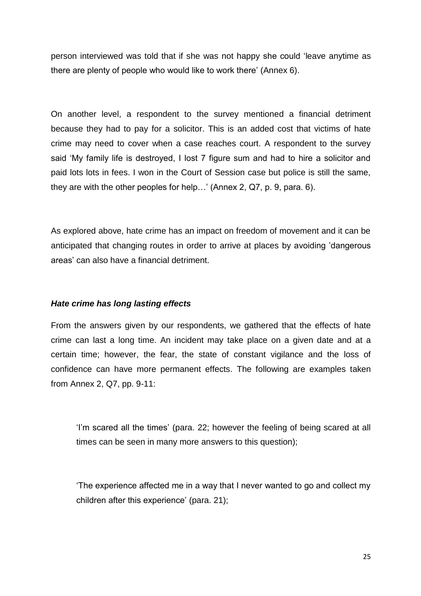person interviewed was told that if she was not happy she could 'leave anytime as there are plenty of people who would like to work there' (Annex 6).

On another level, a respondent to the survey mentioned a financial detriment because they had to pay for a solicitor. This is an added cost that victims of hate crime may need to cover when a case reaches court. A respondent to the survey said 'My family life is destroyed, I lost 7 figure sum and had to hire a solicitor and paid lots lots in fees. I won in the Court of Session case but police is still the same, they are with the other peoples for help…' (Annex 2, Q7, p. 9, para. 6).

As explored above, hate crime has an impact on freedom of movement and it can be anticipated that changing routes in order to arrive at places by avoiding 'dangerous areas' can also have a financial detriment.

## *Hate crime has long lasting effects*

From the answers given by our respondents, we gathered that the effects of hate crime can last a long time. An incident may take place on a given date and at a certain time; however, the fear, the state of constant vigilance and the loss of confidence can have more permanent effects. The following are examples taken from Annex 2, Q7, pp. 9-11:

'I'm scared all the times' (para. 22; however the feeling of being scared at all times can be seen in many more answers to this question);

'The experience affected me in a way that I never wanted to go and collect my children after this experience' (para. 21);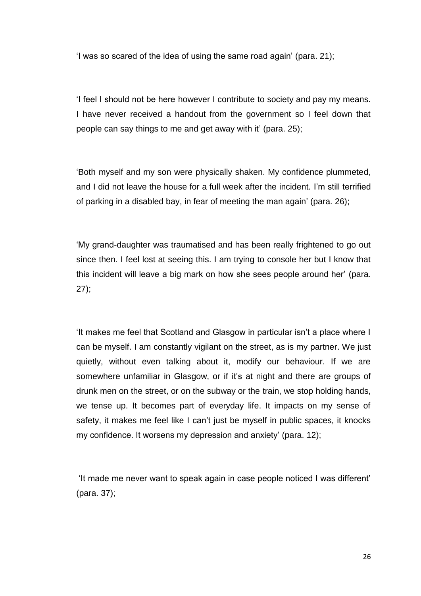'I was so scared of the idea of using the same road again' (para. 21);

'I feel I should not be here however I contribute to society and pay my means. I have never received a handout from the government so I feel down that people can say things to me and get away with it' (para. 25);

'Both myself and my son were physically shaken. My confidence plummeted, and I did not leave the house for a full week after the incident. I'm still terrified of parking in a disabled bay, in fear of meeting the man again' (para. 26);

'My grand-daughter was traumatised and has been really frightened to go out since then. I feel lost at seeing this. I am trying to console her but I know that this incident will leave a big mark on how she sees people around her' (para. 27);

'It makes me feel that Scotland and Glasgow in particular isn't a place where I can be myself. I am constantly vigilant on the street, as is my partner. We just quietly, without even talking about it, modify our behaviour. If we are somewhere unfamiliar in Glasgow, or if it's at night and there are groups of drunk men on the street, or on the subway or the train, we stop holding hands, we tense up. It becomes part of everyday life. It impacts on my sense of safety, it makes me feel like I can't just be myself in public spaces, it knocks my confidence. It worsens my depression and anxiety' (para. 12);

'It made me never want to speak again in case people noticed I was different' (para. 37);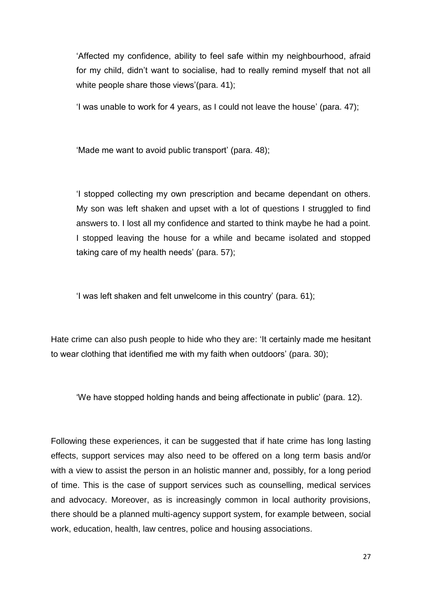'Affected my confidence, ability to feel safe within my neighbourhood, afraid for my child, didn't want to socialise, had to really remind myself that not all white people share those views'(para. 41);

'I was unable to work for 4 years, as I could not leave the house' (para. 47);

'Made me want to avoid public transport' (para. 48);

'I stopped collecting my own prescription and became dependant on others. My son was left shaken and upset with a lot of questions I struggled to find answers to. I lost all my confidence and started to think maybe he had a point. I stopped leaving the house for a while and became isolated and stopped taking care of my health needs' (para. 57);

'I was left shaken and felt unwelcome in this country' (para. 61);

Hate crime can also push people to hide who they are: 'It certainly made me hesitant to wear clothing that identified me with my faith when outdoors' (para. 30);

'We have stopped holding hands and being affectionate in public' (para. 12).

Following these experiences, it can be suggested that if hate crime has long lasting effects, support services may also need to be offered on a long term basis and/or with a view to assist the person in an holistic manner and, possibly, for a long period of time. This is the case of support services such as counselling, medical services and advocacy. Moreover, as is increasingly common in local authority provisions, there should be a planned multi-agency support system, for example between, social work, education, health, law centres, police and housing associations.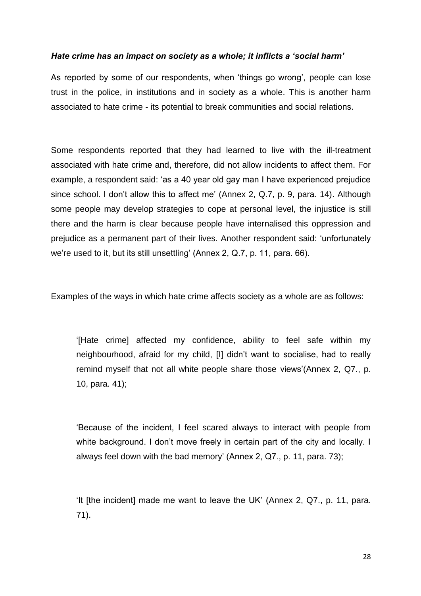## *Hate crime has an impact on society as a whole; it inflicts a 'social harm'*

As reported by some of our respondents, when 'things go wrong', people can lose trust in the police, in institutions and in society as a whole. This is another harm associated to hate crime - its potential to break communities and social relations.

Some respondents reported that they had learned to live with the ill-treatment associated with hate crime and, therefore, did not allow incidents to affect them. For example, a respondent said: 'as a 40 year old gay man I have experienced prejudice since school. I don't allow this to affect me' (Annex 2, Q.7, p. 9, para. 14). Although some people may develop strategies to cope at personal level, the injustice is still there and the harm is clear because people have internalised this oppression and prejudice as a permanent part of their lives. Another respondent said: 'unfortunately we're used to it, but its still unsettling' (Annex 2, Q.7, p. 11, para. 66).

Examples of the ways in which hate crime affects society as a whole are as follows:

'[Hate crime] affected my confidence, ability to feel safe within my neighbourhood, afraid for my child, [I] didn't want to socialise, had to really remind myself that not all white people share those views'(Annex 2, Q7., p. 10, para. 41);

'Because of the incident, I feel scared always to interact with people from white background. I don't move freely in certain part of the city and locally. I always feel down with the bad memory' (Annex 2, Q7., p. 11, para. 73);

'It [the incident] made me want to leave the UK' (Annex 2, Q7., p. 11, para. 71).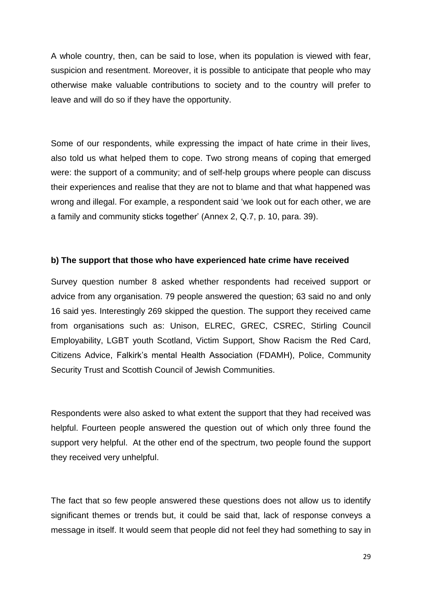A whole country, then, can be said to lose, when its population is viewed with fear, suspicion and resentment. Moreover, it is possible to anticipate that people who may otherwise make valuable contributions to society and to the country will prefer to leave and will do so if they have the opportunity.

Some of our respondents, while expressing the impact of hate crime in their lives, also told us what helped them to cope. Two strong means of coping that emerged were: the support of a community; and of self-help groups where people can discuss their experiences and realise that they are not to blame and that what happened was wrong and illegal. For example, a respondent said 'we look out for each other, we are a family and community sticks together' (Annex 2, Q.7, p. 10, para. 39).

#### **b) The support that those who have experienced hate crime have received**

Survey question number 8 asked whether respondents had received support or advice from any organisation. 79 people answered the question; 63 said no and only 16 said yes. Interestingly 269 skipped the question. The support they received came from organisations such as: Unison, ELREC, GREC, CSREC, Stirling Council Employability, LGBT youth Scotland, Victim Support, Show Racism the Red Card, Citizens Advice, Falkirk's mental Health Association (FDAMH), Police, Community Security Trust and Scottish Council of Jewish Communities.

Respondents were also asked to what extent the support that they had received was helpful. Fourteen people answered the question out of which only three found the support very helpful. At the other end of the spectrum, two people found the support they received very unhelpful.

The fact that so few people answered these questions does not allow us to identify significant themes or trends but, it could be said that, lack of response conveys a message in itself. It would seem that people did not feel they had something to say in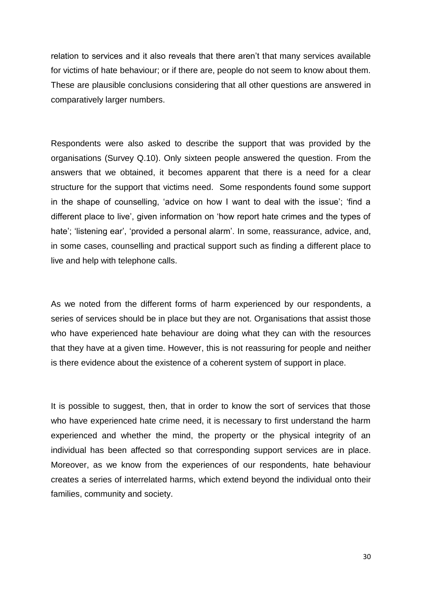relation to services and it also reveals that there aren't that many services available for victims of hate behaviour; or if there are, people do not seem to know about them. These are plausible conclusions considering that all other questions are answered in comparatively larger numbers.

Respondents were also asked to describe the support that was provided by the organisations (Survey Q.10). Only sixteen people answered the question. From the answers that we obtained, it becomes apparent that there is a need for a clear structure for the support that victims need. Some respondents found some support in the shape of counselling, 'advice on how I want to deal with the issue'; 'find a different place to live', given information on 'how report hate crimes and the types of hate'; 'listening ear', 'provided a personal alarm'. In some, reassurance, advice, and, in some cases, counselling and practical support such as finding a different place to live and help with telephone calls.

As we noted from the different forms of harm experienced by our respondents, a series of services should be in place but they are not. Organisations that assist those who have experienced hate behaviour are doing what they can with the resources that they have at a given time. However, this is not reassuring for people and neither is there evidence about the existence of a coherent system of support in place.

It is possible to suggest, then, that in order to know the sort of services that those who have experienced hate crime need, it is necessary to first understand the harm experienced and whether the mind, the property or the physical integrity of an individual has been affected so that corresponding support services are in place. Moreover, as we know from the experiences of our respondents, hate behaviour creates a series of interrelated harms, which extend beyond the individual onto their families, community and society.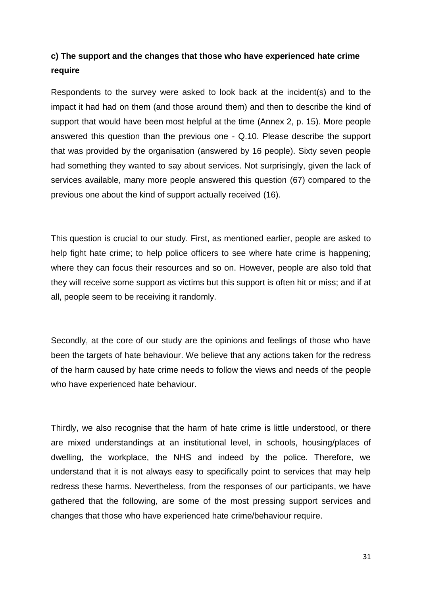# **c) The support and the changes that those who have experienced hate crime require**

Respondents to the survey were asked to look back at the incident(s) and to the impact it had had on them (and those around them) and then to describe the kind of support that would have been most helpful at the time (Annex 2, p. 15). More people answered this question than the previous one - Q.10. Please describe the support that was provided by the organisation (answered by 16 people). Sixty seven people had something they wanted to say about services. Not surprisingly, given the lack of services available, many more people answered this question (67) compared to the previous one about the kind of support actually received (16).

This question is crucial to our study. First, as mentioned earlier, people are asked to help fight hate crime; to help police officers to see where hate crime is happening; where they can focus their resources and so on. However, people are also told that they will receive some support as victims but this support is often hit or miss; and if at all, people seem to be receiving it randomly.

Secondly, at the core of our study are the opinions and feelings of those who have been the targets of hate behaviour. We believe that any actions taken for the redress of the harm caused by hate crime needs to follow the views and needs of the people who have experienced hate behaviour.

Thirdly, we also recognise that the harm of hate crime is little understood, or there are mixed understandings at an institutional level, in schools, housing/places of dwelling, the workplace, the NHS and indeed by the police. Therefore, we understand that it is not always easy to specifically point to services that may help redress these harms. Nevertheless, from the responses of our participants, we have gathered that the following, are some of the most pressing support services and changes that those who have experienced hate crime/behaviour require.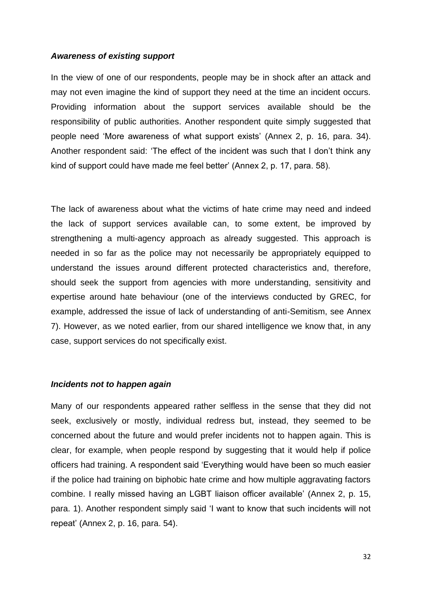#### *Awareness of existing support*

In the view of one of our respondents, people may be in shock after an attack and may not even imagine the kind of support they need at the time an incident occurs. Providing information about the support services available should be the responsibility of public authorities. Another respondent quite simply suggested that people need 'More awareness of what support exists' (Annex 2, p. 16, para. 34). Another respondent said: 'The effect of the incident was such that I don't think any kind of support could have made me feel better' (Annex 2, p. 17, para. 58).

The lack of awareness about what the victims of hate crime may need and indeed the lack of support services available can, to some extent, be improved by strengthening a multi-agency approach as already suggested. This approach is needed in so far as the police may not necessarily be appropriately equipped to understand the issues around different protected characteristics and, therefore, should seek the support from agencies with more understanding, sensitivity and expertise around hate behaviour (one of the interviews conducted by GREC, for example, addressed the issue of lack of understanding of anti-Semitism, see Annex 7). However, as we noted earlier, from our shared intelligence we know that, in any case, support services do not specifically exist.

#### *Incidents not to happen again*

Many of our respondents appeared rather selfless in the sense that they did not seek, exclusively or mostly, individual redress but, instead, they seemed to be concerned about the future and would prefer incidents not to happen again. This is clear, for example, when people respond by suggesting that it would help if police officers had training. A respondent said 'Everything would have been so much easier if the police had training on biphobic hate crime and how multiple aggravating factors combine. I really missed having an LGBT liaison officer available' (Annex 2, p. 15, para. 1). Another respondent simply said 'I want to know that such incidents will not repeat' (Annex 2, p. 16, para. 54).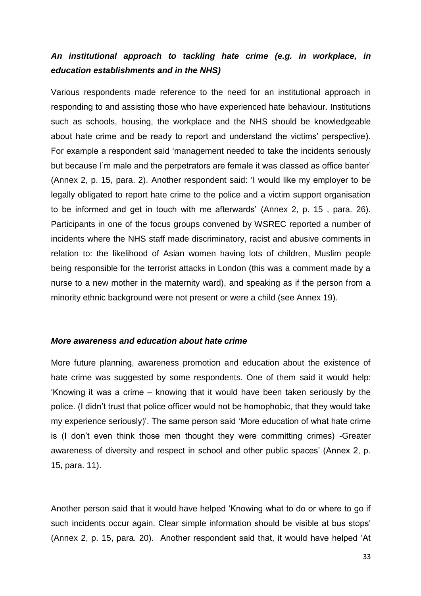# *An institutional approach to tackling hate crime (e.g. in workplace, in education establishments and in the NHS)*

Various respondents made reference to the need for an institutional approach in responding to and assisting those who have experienced hate behaviour. Institutions such as schools, housing, the workplace and the NHS should be knowledgeable about hate crime and be ready to report and understand the victims' perspective). For example a respondent said 'management needed to take the incidents seriously but because I'm male and the perpetrators are female it was classed as office banter' (Annex 2, p. 15, para. 2). Another respondent said: 'I would like my employer to be legally obligated to report hate crime to the police and a victim support organisation to be informed and get in touch with me afterwards' (Annex 2, p. 15 , para. 26). Participants in one of the focus groups convened by WSREC reported a number of incidents where the NHS staff made discriminatory, racist and abusive comments in relation to: the likelihood of Asian women having lots of children, Muslim people being responsible for the terrorist attacks in London (this was a comment made by a nurse to a new mother in the maternity ward), and speaking as if the person from a minority ethnic background were not present or were a child (see Annex 19).

#### *More awareness and education about hate crime*

More future planning, awareness promotion and education about the existence of hate crime was suggested by some respondents. One of them said it would help: 'Knowing it was a crime – knowing that it would have been taken seriously by the police. (I didn't trust that police officer would not be homophobic, that they would take my experience seriously)'. The same person said 'More education of what hate crime is (I don't even think those men thought they were committing crimes) -Greater awareness of diversity and respect in school and other public spaces' (Annex 2, p. 15, para. 11).

Another person said that it would have helped 'Knowing what to do or where to go if such incidents occur again. Clear simple information should be visible at bus stops' (Annex 2, p. 15, para. 20). Another respondent said that, it would have helped 'At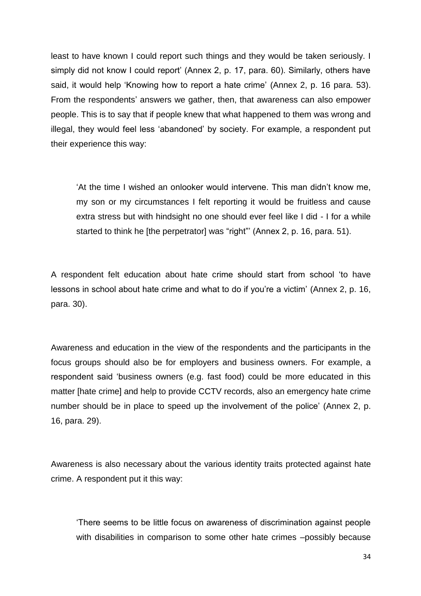least to have known I could report such things and they would be taken seriously. I simply did not know I could report' (Annex 2, p. 17, para. 60). Similarly, others have said, it would help 'Knowing how to report a hate crime' (Annex 2, p. 16 para. 53). From the respondents' answers we gather, then, that awareness can also empower people. This is to say that if people knew that what happened to them was wrong and illegal, they would feel less 'abandoned' by society. For example, a respondent put their experience this way:

'At the time I wished an onlooker would intervene. This man didn't know me, my son or my circumstances I felt reporting it would be fruitless and cause extra stress but with hindsight no one should ever feel like I did - I for a while started to think he [the perpetrator] was "right"' (Annex 2, p. 16, para. 51).

A respondent felt education about hate crime should start from school 'to have lessons in school about hate crime and what to do if you're a victim' (Annex 2, p. 16, para. 30).

Awareness and education in the view of the respondents and the participants in the focus groups should also be for employers and business owners. For example, a respondent said 'business owners (e.g. fast food) could be more educated in this matter [hate crime] and help to provide CCTV records, also an emergency hate crime number should be in place to speed up the involvement of the police' (Annex 2, p. 16, para. 29).

Awareness is also necessary about the various identity traits protected against hate crime. A respondent put it this way:

'There seems to be little focus on awareness of discrimination against people with disabilities in comparison to some other hate crimes –possibly because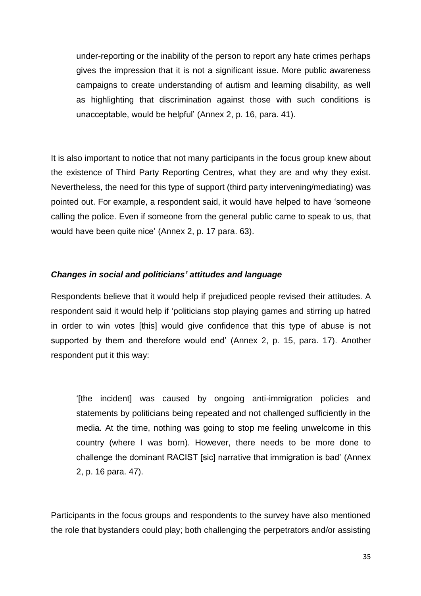under-reporting or the inability of the person to report any hate crimes perhaps gives the impression that it is not a significant issue. More public awareness campaigns to create understanding of autism and learning disability, as well as highlighting that discrimination against those with such conditions is unacceptable, would be helpful' (Annex 2, p. 16, para. 41).

It is also important to notice that not many participants in the focus group knew about the existence of Third Party Reporting Centres, what they are and why they exist. Nevertheless, the need for this type of support (third party intervening/mediating) was pointed out. For example, a respondent said, it would have helped to have 'someone calling the police. Even if someone from the general public came to speak to us, that would have been quite nice' (Annex 2, p. 17 para. 63).

## *Changes in social and politicians' attitudes and language*

Respondents believe that it would help if prejudiced people revised their attitudes. A respondent said it would help if 'politicians stop playing games and stirring up hatred in order to win votes [this] would give confidence that this type of abuse is not supported by them and therefore would end' (Annex 2, p. 15, para. 17). Another respondent put it this way:

'[the incident] was caused by ongoing anti-immigration policies and statements by politicians being repeated and not challenged sufficiently in the media. At the time, nothing was going to stop me feeling unwelcome in this country (where I was born). However, there needs to be more done to challenge the dominant RACIST [sic] narrative that immigration is bad' (Annex 2, p. 16 para. 47).

Participants in the focus groups and respondents to the survey have also mentioned the role that bystanders could play; both challenging the perpetrators and/or assisting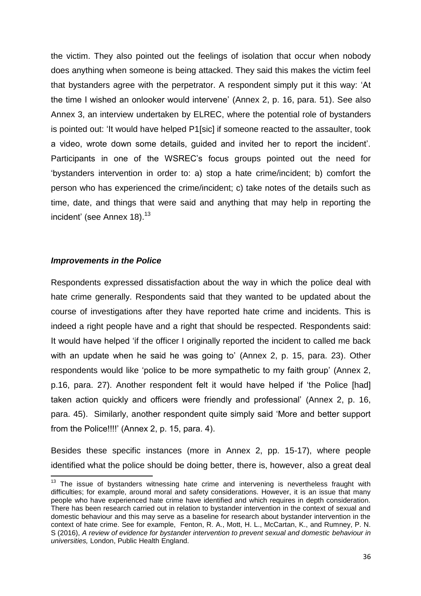the victim. They also pointed out the feelings of isolation that occur when nobody does anything when someone is being attacked. They said this makes the victim feel that bystanders agree with the perpetrator. A respondent simply put it this way: 'At the time I wished an onlooker would intervene' (Annex 2, p. 16, para. 51). See also Annex 3, an interview undertaken by ELREC, where the potential role of bystanders is pointed out: 'It would have helped P1[sic] if someone reacted to the assaulter, took a video, wrote down some details, guided and invited her to report the incident'. Participants in one of the WSREC's focus groups pointed out the need for 'bystanders intervention in order to: a) stop a hate crime/incident; b) comfort the person who has experienced the crime/incident; c) take notes of the details such as time, date, and things that were said and anything that may help in reporting the incident' (see Annex 18).<sup>13</sup>

## *Improvements in the Police*

**.** 

Respondents expressed dissatisfaction about the way in which the police deal with hate crime generally. Respondents said that they wanted to be updated about the course of investigations after they have reported hate crime and incidents. This is indeed a right people have and a right that should be respected. Respondents said: It would have helped 'if the officer I originally reported the incident to called me back with an update when he said he was going to' (Annex 2, p. 15, para. 23). Other respondents would like 'police to be more sympathetic to my faith group' (Annex 2, p.16, para. 27). Another respondent felt it would have helped if 'the Police [had] taken action quickly and officers were friendly and professional' (Annex 2, p. 16, para. 45). Similarly, another respondent quite simply said 'More and better support from the Police!!!!' (Annex 2, p. 15, para. 4).

Besides these specific instances (more in Annex 2, pp. 15-17), where people identified what the police should be doing better, there is, however, also a great deal

 $13$  The issue of bystanders witnessing hate crime and intervening is nevertheless fraught with difficulties; for example, around moral and safety considerations. However, it is an issue that many people who have experienced hate crime have identified and which requires in depth consideration. There has been research carried out in relation to bystander intervention in the context of sexual and domestic behaviour and this may serve as a baseline for research about bystander intervention in the context of hate crime. See for example, Fenton, R. A., Mott, H. L., McCartan, K., and Rumney, P. N. S (2016), *A review of evidence for bystander intervention to prevent sexual and domestic behaviour in universities,* London, Public Health England.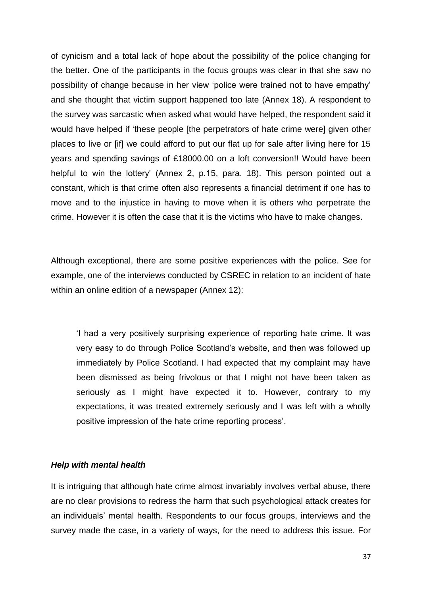of cynicism and a total lack of hope about the possibility of the police changing for the better. One of the participants in the focus groups was clear in that she saw no possibility of change because in her view 'police were trained not to have empathy' and she thought that victim support happened too late (Annex 18). A respondent to the survey was sarcastic when asked what would have helped, the respondent said it would have helped if 'these people [the perpetrators of hate crime were] given other places to live or [if] we could afford to put our flat up for sale after living here for 15 years and spending savings of £18000.00 on a loft conversion!! Would have been helpful to win the lottery' (Annex 2, p.15, para. 18). This person pointed out a constant, which is that crime often also represents a financial detriment if one has to move and to the injustice in having to move when it is others who perpetrate the crime. However it is often the case that it is the victims who have to make changes.

Although exceptional, there are some positive experiences with the police. See for example, one of the interviews conducted by CSREC in relation to an incident of hate within an online edition of a newspaper (Annex 12):

'I had a very positively surprising experience of reporting hate crime. It was very easy to do through Police Scotland's website, and then was followed up immediately by Police Scotland. I had expected that my complaint may have been dismissed as being frivolous or that I might not have been taken as seriously as I might have expected it to. However, contrary to my expectations, it was treated extremely seriously and I was left with a wholly positive impression of the hate crime reporting process'.

#### *Help with mental health*

It is intriguing that although hate crime almost invariably involves verbal abuse, there are no clear provisions to redress the harm that such psychological attack creates for an individuals' mental health. Respondents to our focus groups, interviews and the survey made the case, in a variety of ways, for the need to address this issue. For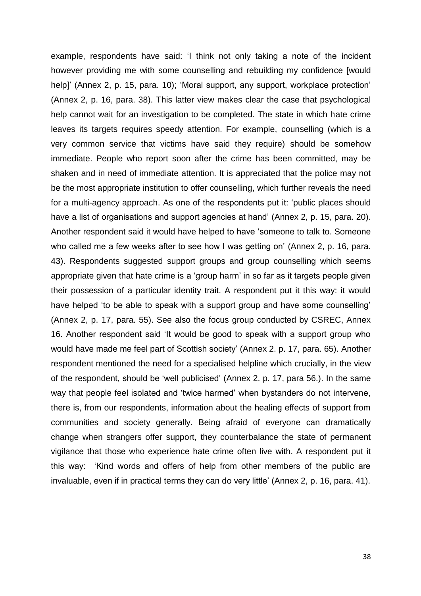example, respondents have said: 'I think not only taking a note of the incident however providing me with some counselling and rebuilding my confidence [would help]' (Annex 2, p. 15, para. 10); 'Moral support, any support, workplace protection' (Annex 2, p. 16, para. 38). This latter view makes clear the case that psychological help cannot wait for an investigation to be completed. The state in which hate crime leaves its targets requires speedy attention. For example, counselling (which is a very common service that victims have said they require) should be somehow immediate. People who report soon after the crime has been committed, may be shaken and in need of immediate attention. It is appreciated that the police may not be the most appropriate institution to offer counselling, which further reveals the need for a multi-agency approach. As one of the respondents put it: 'public places should have a list of organisations and support agencies at hand' (Annex 2, p. 15, para. 20). Another respondent said it would have helped to have 'someone to talk to. Someone who called me a few weeks after to see how I was getting on' (Annex 2, p. 16, para. 43). Respondents suggested support groups and group counselling which seems appropriate given that hate crime is a 'group harm' in so far as it targets people given their possession of a particular identity trait. A respondent put it this way: it would have helped 'to be able to speak with a support group and have some counselling' (Annex 2, p. 17, para. 55). See also the focus group conducted by CSREC, Annex 16. Another respondent said 'It would be good to speak with a support group who would have made me feel part of Scottish society' (Annex 2. p. 17, para. 65). Another respondent mentioned the need for a specialised helpline which crucially, in the view of the respondent, should be 'well publicised' (Annex 2. p. 17, para 56.). In the same way that people feel isolated and 'twice harmed' when bystanders do not intervene, there is, from our respondents, information about the healing effects of support from communities and society generally. Being afraid of everyone can dramatically change when strangers offer support, they counterbalance the state of permanent vigilance that those who experience hate crime often live with. A respondent put it this way: 'Kind words and offers of help from other members of the public are invaluable, even if in practical terms they can do very little' (Annex 2, p. 16, para. 41).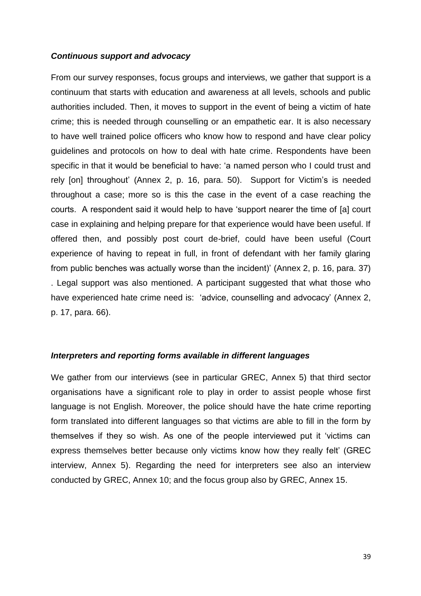#### *Continuous support and advocacy*

From our survey responses, focus groups and interviews, we gather that support is a continuum that starts with education and awareness at all levels, schools and public authorities included. Then, it moves to support in the event of being a victim of hate crime; this is needed through counselling or an empathetic ear. It is also necessary to have well trained police officers who know how to respond and have clear policy guidelines and protocols on how to deal with hate crime. Respondents have been specific in that it would be beneficial to have: 'a named person who I could trust and rely [on] throughout' (Annex 2, p. 16, para. 50). Support for Victim's is needed throughout a case; more so is this the case in the event of a case reaching the courts. A respondent said it would help to have 'support nearer the time of [a] court case in explaining and helping prepare for that experience would have been useful. If offered then, and possibly post court de-brief, could have been useful (Court experience of having to repeat in full, in front of defendant with her family glaring from public benches was actually worse than the incident)' (Annex 2, p. 16, para. 37) . Legal support was also mentioned. A participant suggested that what those who have experienced hate crime need is: 'advice, counselling and advocacy' (Annex 2, p. 17, para. 66).

#### *Interpreters and reporting forms available in different languages*

We gather from our interviews (see in particular GREC, Annex 5) that third sector organisations have a significant role to play in order to assist people whose first language is not English. Moreover, the police should have the hate crime reporting form translated into different languages so that victims are able to fill in the form by themselves if they so wish. As one of the people interviewed put it 'victims can express themselves better because only victims know how they really felt' (GREC interview, Annex 5). Regarding the need for interpreters see also an interview conducted by GREC, Annex 10; and the focus group also by GREC, Annex 15.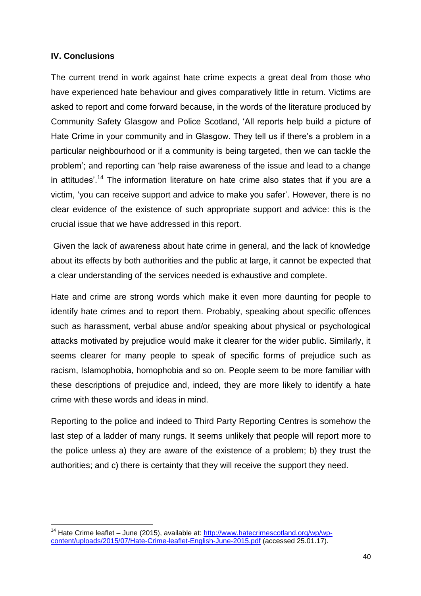# **IV. Conclusions**

The current trend in work against hate crime expects a great deal from those who have experienced hate behaviour and gives comparatively little in return. Victims are asked to report and come forward because, in the words of the literature produced by Community Safety Glasgow and Police Scotland, 'All reports help build a picture of Hate Crime in your community and in Glasgow. They tell us if there's a problem in a particular neighbourhood or if a community is being targeted, then we can tackle the problem'; and reporting can 'help raise awareness of the issue and lead to a change in attitudes'.<sup>14</sup> The information literature on hate crime also states that if you are a victim, 'you can receive support and advice to make you safer'. However, there is no clear evidence of the existence of such appropriate support and advice: this is the crucial issue that we have addressed in this report.

Given the lack of awareness about hate crime in general, and the lack of knowledge about its effects by both authorities and the public at large, it cannot be expected that a clear understanding of the services needed is exhaustive and complete.

Hate and crime are strong words which make it even more daunting for people to identify hate crimes and to report them. Probably, speaking about specific offences such as harassment, verbal abuse and/or speaking about physical or psychological attacks motivated by prejudice would make it clearer for the wider public. Similarly, it seems clearer for many people to speak of specific forms of prejudice such as racism, Islamophobia, homophobia and so on. People seem to be more familiar with these descriptions of prejudice and, indeed, they are more likely to identify a hate crime with these words and ideas in mind.

Reporting to the police and indeed to Third Party Reporting Centres is somehow the last step of a ladder of many rungs. It seems unlikely that people will report more to the police unless a) they are aware of the existence of a problem; b) they trust the authorities; and c) there is certainty that they will receive the support they need.

**<sup>.</sup>** <sup>14</sup> Hate Crime leaflet – June (2015), available at: [http://www.hatecrimescotland.org/wp/wp](http://www.hatecrimescotland.org/wp/wp-content/uploads/2015/07/Hate-Crime-leaflet-English-June-2015.pdf)[content/uploads/2015/07/Hate-Crime-leaflet-English-June-2015.pdf](http://www.hatecrimescotland.org/wp/wp-content/uploads/2015/07/Hate-Crime-leaflet-English-June-2015.pdf) (accessed 25.01.17).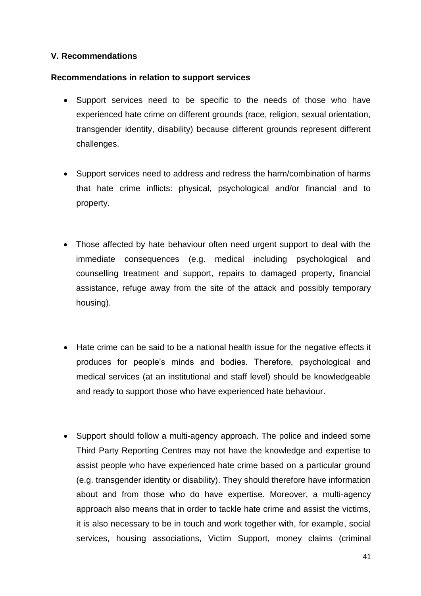## **V. Recommendations**

## **Recommendations in relation to support services**

- Support services need to be specific to the needs of those who have experienced hate crime on different grounds (race, religion, sexual orientation, transgender identity, disability) because different grounds represent different challenges.
- Support services need to address and redress the harm/combination of harms that hate crime inflicts: physical, psychological and/or financial and to property.
- Those affected by hate behaviour often need urgent support to deal with the immediate consequences (e.g. medical including psychological and counselling treatment and support, repairs to damaged property, financial assistance, refuge away from the site of the attack and possibly temporary housing).
- Hate crime can be said to be a national health issue for the negative effects it produces for people's minds and bodies. Therefore, psychological and medical services (at an institutional and staff level) should be knowledgeable and ready to support those who have experienced hate behaviour.
- Support should follow a multi-agency approach. The police and indeed some Third Party Reporting Centres may not have the knowledge and expertise to assist people who have experienced hate crime based on a particular ground (e.g. transgender identity or disability). They should therefore have information about and from those who do have expertise. Moreover, a multi-agency approach also means that in order to tackle hate crime and assist the victims, it is also necessary to be in touch and work together with, for example, social services, housing associations, Victim Support, money claims (criminal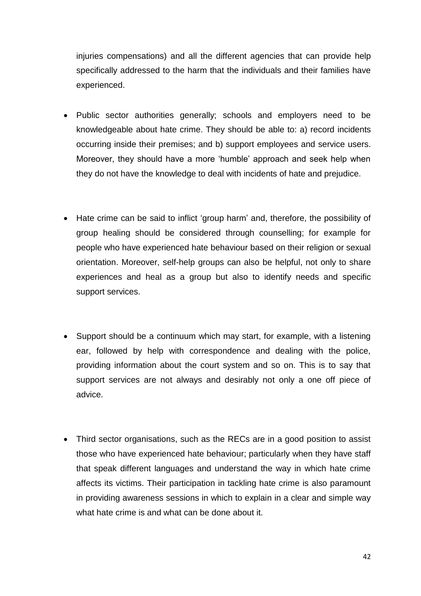injuries compensations) and all the different agencies that can provide help specifically addressed to the harm that the individuals and their families have experienced.

- Public sector authorities generally; schools and employers need to be knowledgeable about hate crime. They should be able to: a) record incidents occurring inside their premises; and b) support employees and service users. Moreover, they should have a more 'humble' approach and seek help when they do not have the knowledge to deal with incidents of hate and prejudice.
- Hate crime can be said to inflict 'group harm' and, therefore, the possibility of group healing should be considered through counselling; for example for people who have experienced hate behaviour based on their religion or sexual orientation. Moreover, self-help groups can also be helpful, not only to share experiences and heal as a group but also to identify needs and specific support services.
- Support should be a continuum which may start, for example, with a listening ear, followed by help with correspondence and dealing with the police, providing information about the court system and so on. This is to say that support services are not always and desirably not only a one off piece of advice.
- Third sector organisations, such as the RECs are in a good position to assist those who have experienced hate behaviour; particularly when they have staff that speak different languages and understand the way in which hate crime affects its victims. Their participation in tackling hate crime is also paramount in providing awareness sessions in which to explain in a clear and simple way what hate crime is and what can be done about it.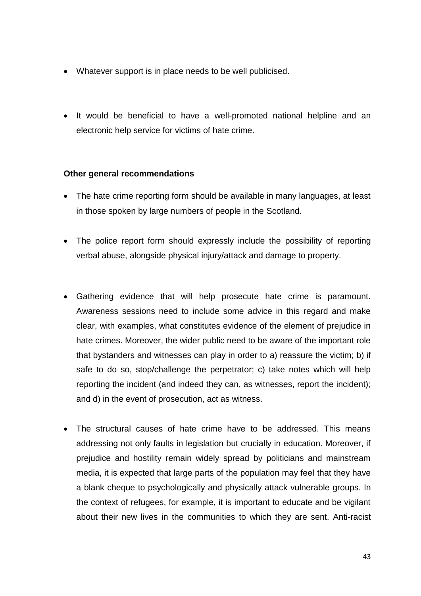- Whatever support is in place needs to be well publicised.
- It would be beneficial to have a well-promoted national helpline and an electronic help service for victims of hate crime.

## **Other general recommendations**

- The hate crime reporting form should be available in many languages, at least in those spoken by large numbers of people in the Scotland.
- The police report form should expressly include the possibility of reporting verbal abuse, alongside physical injury/attack and damage to property.
- Gathering evidence that will help prosecute hate crime is paramount. Awareness sessions need to include some advice in this regard and make clear, with examples, what constitutes evidence of the element of prejudice in hate crimes. Moreover, the wider public need to be aware of the important role that bystanders and witnesses can play in order to a) reassure the victim; b) if safe to do so, stop/challenge the perpetrator; c) take notes which will help reporting the incident (and indeed they can, as witnesses, report the incident); and d) in the event of prosecution, act as witness.
- The structural causes of hate crime have to be addressed. This means addressing not only faults in legislation but crucially in education. Moreover, if prejudice and hostility remain widely spread by politicians and mainstream media, it is expected that large parts of the population may feel that they have a blank cheque to psychologically and physically attack vulnerable groups. In the context of refugees, for example, it is important to educate and be vigilant about their new lives in the communities to which they are sent. Anti-racist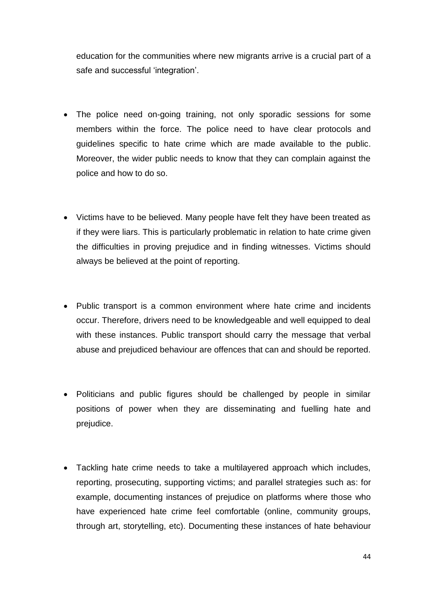education for the communities where new migrants arrive is a crucial part of a safe and successful 'integration'.

- The police need on-going training, not only sporadic sessions for some members within the force. The police need to have clear protocols and guidelines specific to hate crime which are made available to the public. Moreover, the wider public needs to know that they can complain against the police and how to do so.
- Victims have to be believed. Many people have felt they have been treated as if they were liars. This is particularly problematic in relation to hate crime given the difficulties in proving prejudice and in finding witnesses. Victims should always be believed at the point of reporting.
- Public transport is a common environment where hate crime and incidents occur. Therefore, drivers need to be knowledgeable and well equipped to deal with these instances. Public transport should carry the message that verbal abuse and prejudiced behaviour are offences that can and should be reported.
- Politicians and public figures should be challenged by people in similar positions of power when they are disseminating and fuelling hate and prejudice.
- Tackling hate crime needs to take a multilayered approach which includes, reporting, prosecuting, supporting victims; and parallel strategies such as: for example, documenting instances of prejudice on platforms where those who have experienced hate crime feel comfortable (online, community groups, through art, storytelling, etc). Documenting these instances of hate behaviour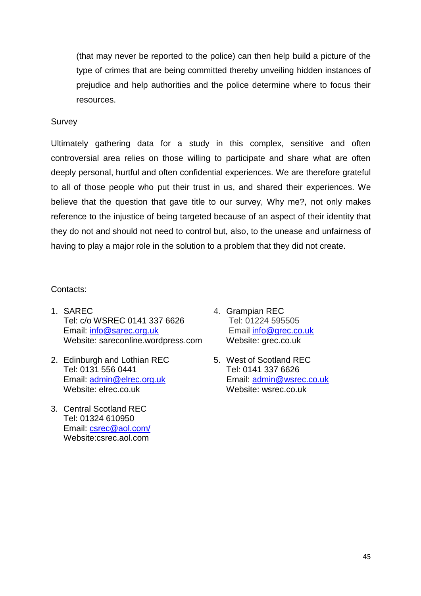(that may never be reported to the police) can then help build a picture of the type of crimes that are being committed thereby unveiling hidden instances of prejudice and help authorities and the police determine where to focus their resources.

## Survey

Ultimately gathering data for a study in this complex, sensitive and often controversial area relies on those willing to participate and share what are often deeply personal, hurtful and often confidential experiences. We are therefore grateful to all of those people who put their trust in us, and shared their experiences. We believe that the question that gave title to our survey, Why me?, not only makes reference to the injustice of being targeted because of an aspect of their identity that they do not and should not need to control but, also, to the unease and unfairness of having to play a major role in the solution to a problem that they did not create.

## Contacts:

- 1. SAREC Tel: c/o WSREC 0141 337 6626 Email: [info@sarec.org.uk](mailto:info@sarec.org.uk) Website: sareconline.wordpress.com
- 2. Edinburgh and Lothian REC Tel: 0131 556 0441 Email: [admin@elrec.org.uk](mailto:admin@elrec.org.uk) Website: elrec.co.uk
- 3. Central Scotland REC Tel: 01324 610950 Email: [csrec@aol.com/](mailto:csrec@aol.com/) Website:csrec.aol.com
- 4. Grampian REC Tel: 01224 595505 Email [info@grec.co.uk](mailto:info@grec.co.uk) Website: grec.co.uk
- 5. West of Scotland REC Tel: 0141 337 6626 Email: [admin@wsrec.co.uk](mailto:admin@wsrec.co.uk) Website: wsrec.co.uk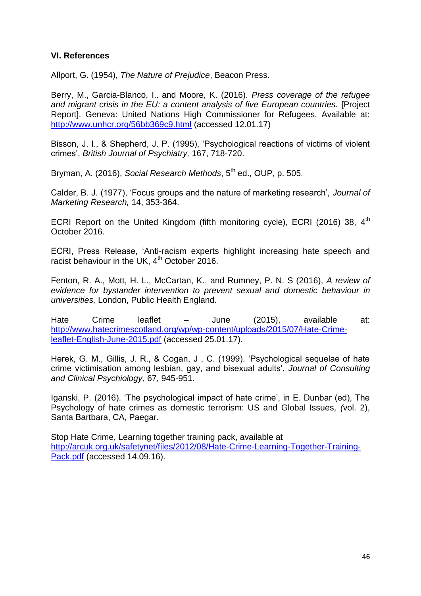## **VI. References**

Allport, G. (1954), *The Nature of Prejudice*, Beacon Press.

[Berry, M.,](http://orca.cf.ac.uk/view/cardiffauthors/A464167V.html) [Garcia-Blanco, I.](http://orca.cf.ac.uk/view/cardiffauthors/A130303A.html), and [Moore, K.](http://orca.cf.ac.uk/view/cardiffauthors/A061736N.html) (2016). *Press coverage of the refugee and migrant crisis in the EU: a content analysis of five European countries.* [Project Report]. Geneva: United Nations High Commissioner for Refugees. Available at: <http://www.unhcr.org/56bb369c9.html> (accessed 12.01.17)

Bisson, J. I., & Shepherd, J. P. (1995), 'Psychological reactions of victims of violent crimes', *British Journal of Psychiatry,* 167, 718-720.

Bryman, A. (2016), *Social Research Methods*, 5<sup>th</sup> ed., OUP, p. 505.

Calder, B. J. (1977), 'Focus groups and the nature of marketing research', *Journal of Marketing Research,* 14, 353-364.

ECRI Report on the United Kingdom (fifth monitoring cycle), ECRI (2016) 38, 4<sup>th</sup> October 2016.

ECRI, Press Release, 'Anti-racism experts highlight increasing hate speech and racist behaviour in the UK,  $4<sup>th</sup>$  October 2016.

Fenton, R. A., Mott, H. L., McCartan, K., and Rumney, P. N. S (2016), *A review of evidence for bystander intervention to prevent sexual and domestic behaviour in universities,* London, Public Health England.

Hate Crime leaflet – June (2015), available at: [http://www.hatecrimescotland.org/wp/wp-content/uploads/2015/07/Hate-Crime](http://www.hatecrimescotland.org/wp/wp-content/uploads/2015/07/Hate-Crime-leaflet-English-June-2015.pdf)[leaflet-English-June-2015.pdf](http://www.hatecrimescotland.org/wp/wp-content/uploads/2015/07/Hate-Crime-leaflet-English-June-2015.pdf) (accessed 25.01.17).

Herek, G. M., Gillis, J. R., & Cogan, J . C. (1999). 'Psychological sequelae of hate crime victimisation among lesbian, gay, and bisexual adults', *Journal of Consulting and Clinical Psychiology,* 67, 945-951.

Iganski, P. (2016). 'The psychological impact of hate crime', in E. Dunbar (ed), The Psychology of hate crimes as domestic terrorism: US and Global Issues*, (*vol. 2), Santa Bartbara, CA, Paegar.

Stop Hate Crime, Learning together training pack, available at [http://arcuk.org.uk/safetynet/files/2012/08/Hate-Crime-Learning-Together-Training-](http://arcuk.org.uk/safetynet/files/2012/08/Hate-Crime-Learning-Together-Training-Pack.pdf)[Pack.pdf](http://arcuk.org.uk/safetynet/files/2012/08/Hate-Crime-Learning-Together-Training-Pack.pdf) (accessed 14.09.16).